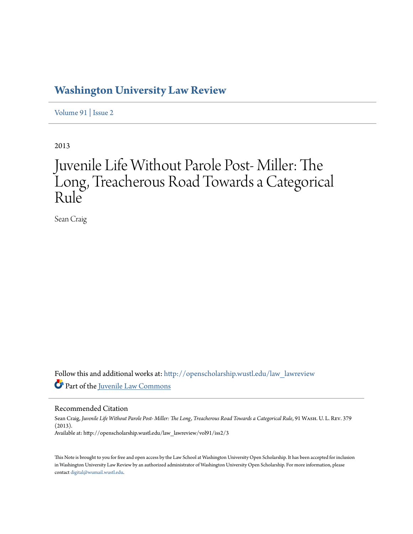## **[Washington University Law Review](http://openscholarship.wustl.edu/law_lawreview?utm_source=openscholarship.wustl.edu%2Flaw_lawreview%2Fvol91%2Fiss2%2F3&utm_medium=PDF&utm_campaign=PDFCoverPages)**

[Volume 91](http://openscholarship.wustl.edu/law_lawreview/vol91?utm_source=openscholarship.wustl.edu%2Flaw_lawreview%2Fvol91%2Fiss2%2F3&utm_medium=PDF&utm_campaign=PDFCoverPages) | [Issue 2](http://openscholarship.wustl.edu/law_lawreview/vol91/iss2?utm_source=openscholarship.wustl.edu%2Flaw_lawreview%2Fvol91%2Fiss2%2F3&utm_medium=PDF&utm_campaign=PDFCoverPages)

2013

# Juvenile Life Without Parole Post- Miller: The Long, Treacherous Road Towards a Categorical Rule

Sean Craig

Follow this and additional works at: [http://openscholarship.wustl.edu/law\\_lawreview](http://openscholarship.wustl.edu/law_lawreview?utm_source=openscholarship.wustl.edu%2Flaw_lawreview%2Fvol91%2Fiss2%2F3&utm_medium=PDF&utm_campaign=PDFCoverPages) Part of the [Juvenile Law Commons](http://network.bepress.com/hgg/discipline/851?utm_source=openscholarship.wustl.edu%2Flaw_lawreview%2Fvol91%2Fiss2%2F3&utm_medium=PDF&utm_campaign=PDFCoverPages)

Recommended Citation

Sean Craig, Juvenile Life Without Parole Post- Miller: The Long, Treacherous Road Towards a Categorical Rule, 91 WASH. U. L. REV. 379 (2013). Available at: http://openscholarship.wustl.edu/law\_lawreview/vol91/iss2/3

This Note is brought to you for free and open access by the Law School at Washington University Open Scholarship. It has been accepted for inclusion in Washington University Law Review by an authorized administrator of Washington University Open Scholarship. For more information, please contact [digital@wumail.wustl.edu.](mailto:digital@wumail.wustl.edu)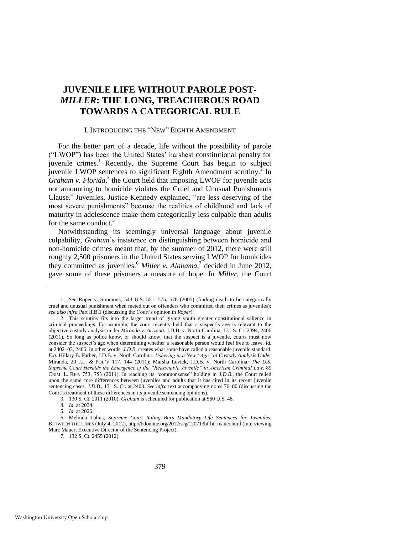### **JUVENILE LIFE WITHOUT PAROLE POST-***MILLER***: THE LONG, TREACHEROUS ROAD TOWARDS A CATEGORICAL RULE**

#### I. INTRODUCING THE "NEW" EIGHTH AMENDMENT

For the better part of a decade, life without the possibility of parole ("LWOP") has been the United States' harshest constitutional penalty for juvenile crimes.<sup>1</sup> Recently, the Supreme Court has begun to subject juvenile LWOP sentences to significant Eighth Amendment scrutiny. $^2$  In Graham v. Florida,<sup>3</sup> the Court held that imposing LWOP for juvenile acts not amounting to homicide violates the Cruel and Unusual Punishments Clause.<sup>4</sup> Juveniles, Justice Kennedy explained, "are less deserving of the most severe punishments" because the realities of childhood and lack of maturity in adolescence make them categorically less culpable than adults for the same conduct.<sup>5</sup>

Notwithstanding its seemingly universal language about juvenile culpability, *Graham*'s insistence on distinguishing between homicide and non-homicide crimes meant that, by the summer of 2012, there were still roughly 2,500 prisoners in the United States serving LWOP for homicides they committed as juveniles.<sup>6</sup> Miller v. Alabama,<sup>7</sup> decided in June 2012, gave some of these prisoners a measure of hope. In *Miller*, the Court

7. 132 S. Ct. 2455 (2012).

<sup>1.</sup> *See* Roper v. Simmons, 543 U.S. 551, 575, 578 (2005) (finding death to be categorically cruel and unusual punishment when meted out on offenders who committed their crimes as juveniles); *see also infra* Part II.B.1 (discussing the Court's opinion in *Roper*).

<sup>2.</sup> This scrutiny fits into the larger trend of giving youth greater constitutional salience in criminal proceedings. For example, the court recently held that a suspect's age is relevant to the objective custody analysis under *Miranda v. Arizona*. J.D.B. v. North Carolina, 131 S. Ct. 2394, 2406 (2011). So long as police know, or should know, that the suspect is a juvenile, courts must now consider the suspect's age when determining whether a reasonable person would feel free to leave. *Id.* at 2402–03, 2406. In other words, *J.D.B.* creates what some have called a reasonable juvenile standard. *E.g.* Hillary B. Farber, J.D.B. v. North Carolina*: Ushering in a New "Age" of Custody Analysis Under* Miranda, 20 J.L. & POL'Y 117, 144 (2011); Marsha Levick, J.D.B. v. North Carolina*: The U.S. Supreme Court Heralds the Emergence of the "Reasonable Juvenile" in American Criminal Law*, 89 CRIM. L. REP. 753, 753 (2011). In reaching its "commonsense" holding in *J.D.B.*, the Court relied upon the same core differences between juveniles and adults that it has cited in its recent juvenile sentencing cases. *J.D.B.*, 131 S. Ct. at 2403. *See infra* text accompanying notes [76](#page-11-0)[–80](#page-11-1) (discussing the Court's treatment of these differences in its juvenile sentencing opinions).

<sup>3. 130</sup> S. Ct. 2011 (2010). *Graham* is scheduled for publication at 560 U.S. 48.

<sup>4.</sup> *Id.* at 2034.

<sup>5.</sup> *Id.* at 2026.

<sup>6.</sup> Melinda Tuhus, *Supreme Court Ruling Bars Mandatory Life Sentences for Juveniles*, BETWEEN THE LINES (July 4, 2012), http://btlonline.org/2012/seg/120713bf-btl-mauer.html (interviewing Marc Mauer, Executive Director of the Sentencing Project).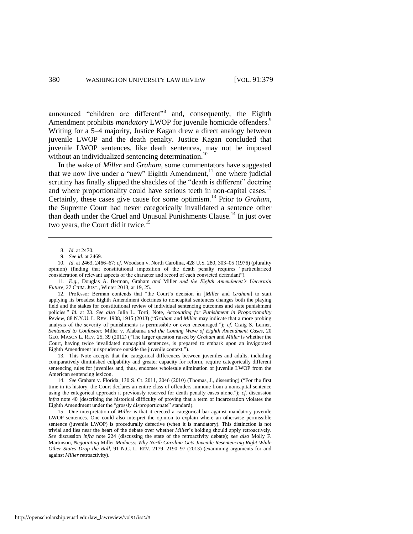announced "children are different"<sup>8</sup> and, consequently, the Eighth Amendment prohibits *mandatory* LWOP for juvenile homicide offenders.<sup>9</sup> Writing for a 5–4 majority, Justice Kagan drew a direct analogy between juvenile LWOP and the death penalty. Justice Kagan concluded that juvenile LWOP sentences, like death sentences, may not be imposed without an individualized sentencing determination.<sup>10</sup>

In the wake of *Miller* and *Graham*, some commentators have suggested that we now live under a "new" Eighth Amendment, $11$  one where judicial scrutiny has finally slipped the shackles of the "death is different" doctrine and where proportionality could have serious teeth in non-capital cases.<sup>12</sup> Certainly, these cases give cause for some optimism.<sup>13</sup> Prior to *Graham*, the Supreme Court had never categorically invalidated a sentence other than death under the Cruel and Unusual Punishments Clause.<sup>14</sup> In just over two years, the Court did it twice.<sup>15</sup>

11. *E.g.*, Douglas A. Berman, Graham *and* Miller *and the Eighth Amendment's Uncertain Future*, 27 CRIM. JUST., Winter 2013, at 19, 25.

12. Professor Berman contends that "the Court's decision in [*Miller* and *Graham*] to start applying its broadest Eighth Amendment doctrines to noncapital sentences changes both the playing field and the stakes for constitutional review of individual sentencing outcomes and state punishment policies." *Id.* at 23. *See also* Julia L. Torti, Note, *Accounting for Punishment in Proportionality Review*, 88 N.Y.U. L. REV. 1908, 1915 (2013) ("*Graham* and *Miller* may indicate that a more probing analysis of the severity of punishments is permissible or even encouraged."); *cf.* Craig S. Lerner, *Sentenced to Confusion:* Miller v. Alabama *and the Coming Wave of Eighth Amendment Cases*, 20 GEO. MASON L. REV. 25, 39 (2012) ("The larger question raised by *Graham* and *Miller* is whether the Court, having twice invalidated noncapital sentences, is prepared to embark upon an invigorated Eighth Amendment jurisprudence outside the juvenile context.").

13. This Note accepts that the categorical differences between juveniles and adults, including comparatively diminished culpability and greater capacity for reform, require categorically different sentencing rules for juveniles and, thus, endorses wholesale elimination of juvenile LWOP from the American sentencing lexicon.

14. *See* Graham v. Florida, 130 S. Ct. 2011, 2046 (2010) (Thomas, J., dissenting) ("For the first time in its history, the Court declares an entire class of offenders immune from a noncapital sentence using the categorical approach it previously reserved for death penalty cases alone."); *cf.* discussion *infra* note [40](#page-7-0) (describing the historical difficulty of proving that a term of incarceration violates the Eighth Amendment under the "grossly disproportionate" standard).

15. One interpretation of *Miller* is that it erected a categorical bar against mandatory juvenile LWOP sentences. One could also interpret the opinion to explain where an otherwise permissible sentence (juvenile LWOP) is procedurally defective (when it is mandatory). This distinction is not trivial and lies near the heart of the debate over whether *Miller*'s holding should apply retroactively. *See* discussion *infra* note [224](#page-30-0) (discussing the state of the retroactivity debate); *see also* Molly F. Martinson, *Negotiating* Miller *Madness: Why North Carolina Gets Juvenile Resentencing Right While Other States Drop the Ball*, 91 N.C. L. REV. 2179, 2190–97 (2013) (examining arguments for and against *Miller* retroactivity).

<sup>8.</sup> *Id.* at 2470.

<sup>9.</sup> *See id.* at 2469.

<sup>10.</sup> *Id.* at 2463, 2466–67; *cf.* Woodson v. North Carolina, 428 U.S. 280, 303–05 (1976) (plurality opinion) (finding that constitutional imposition of the death penalty requires "particularized consideration of relevant aspects of the character and record of each convicted defendant").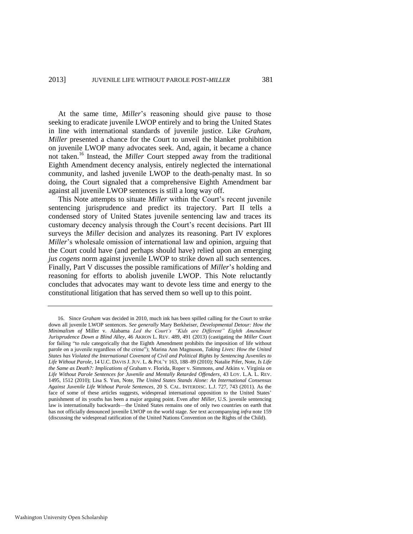<span id="page-3-0"></span>At the same time, *Miller*'s reasoning should give pause to those seeking to eradicate juvenile LWOP entirely and to bring the United States in line with international standards of juvenile justice. Like *Graham*, *Miller* presented a chance for the Court to unveil the blanket prohibition on juvenile LWOP many advocates seek. And, again, it became a chance not taken.<sup>16</sup> Instead, the *Miller* Court stepped away from the traditional Eighth Amendment decency analysis, entirely neglected the international community, and lashed juvenile LWOP to the death-penalty mast. In so doing, the Court signaled that a comprehensive Eighth Amendment bar against all juvenile LWOP sentences is still a long way off.

This Note attempts to situate *Miller* within the Court's recent juvenile sentencing jurisprudence and predict its trajectory. Part II tells a condensed story of United States juvenile sentencing law and traces its customary decency analysis through the Court's recent decisions. Part III surveys the *Miller* decision and analyzes its reasoning. Part IV explores *Miller*'s wholesale omission of international law and opinion, arguing that the Court could have (and perhaps should have) relied upon an emerging *jus cogens* norm against juvenile LWOP to strike down all such sentences. Finally, Part V discusses the possible ramifications of *Miller*'s holding and reasoning for efforts to abolish juvenile LWOP. This Note reluctantly concludes that advocates may want to devote less time and energy to the constitutional litigation that has served them so well up to this point.

<sup>16.</sup> Since *Graham* was decided in 2010, much ink has been spilled calling for the Court to strike down all juvenile LWOP sentences. *See generally* Mary Berkheiser, *Developmental Detour: How the Minimalism of* Miller v. Alabama *Led the Court's "Kids are Different" Eighth Amendment Jurisprudence Down a Blind Alley*, 46 AKRON L. REV. 489, 491 (2013) (castigating the *Miller* Court for failing "to rule categorically that the Eighth Amendment prohibits the imposition of life without parole on a juvenile regardless of the crime"); Marina Ann Magnuson, *Taking Lives: How the United States has Violated the International Covenant of Civil and Political Rights by Sentencing Juveniles to Life Without Parole*, 14 U.C. DAVIS J. JUV. L. & POL'Y 163, 188–89 (2010); Natalie Pifer, Note, *Is Life the Same as Death?: Implications of* Graham v. Florida*,* Roper v. Simmons*, and* Atkins v. Virginia *on Life Without Parole Sentences for Juvenile and Mentally Retarded Offenders*, 43 LOY. L.A. L. REV. 1495, 1512 (2010); Lisa S. Yun, Note, *The United States Stands Alone: An International Consensus Against Juvenile Life Without Parole Sentences*, 20 S. CAL. INTERDISC. L.J. 727, 743 (2011). As the face of some of these articles suggests, widespread international opposition to the United States' punishment of its youths has been a major arguing point. Even after *Miller*, U.S. juvenile sentencing law is internationally backwards—the United States remains one of only two countries on earth that has not officially denounced juvenile LWOP on the world stage. *See* text accompanying *infra* not[e 159](#page-21-0) (discussing the widespread ratification of the United Nations Convention on the Rights of the Child).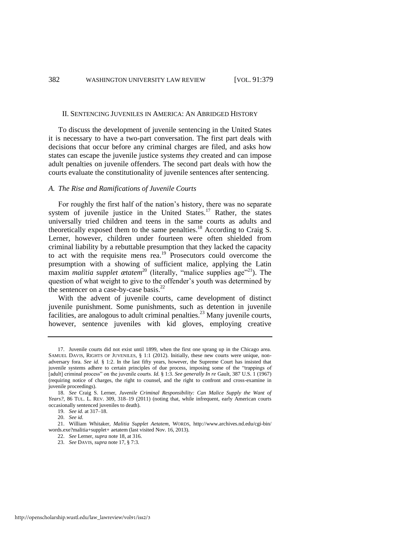#### II. SENTENCING JUVENILES IN AMERICA: AN ABRIDGED HISTORY

To discuss the development of juvenile sentencing in the United States it is necessary to have a two-part conversation. The first part deals with decisions that occur before any criminal charges are filed, and asks how states can escape the juvenile justice systems *they* created and can impose adult penalties on juvenile offenders. The second part deals with how the courts evaluate the constitutionality of juvenile sentences after sentencing.

#### *A. The Rise and Ramifications of Juvenile Courts*

<span id="page-4-1"></span><span id="page-4-0"></span>For roughly the first half of the nation's history, there was no separate system of juvenile justice in the United States.<sup>17</sup> Rather, the states universally tried children and teens in the same courts as adults and theoretically exposed them to the same penalties.<sup>18</sup> According to Craig S. Lerner, however, children under fourteen were often shielded from criminal liability by a rebuttable presumption that they lacked the capacity to act with the requisite mens rea.<sup>19</sup> Prosecutors could overcome the presumption with a showing of sufficient malice, applying the Latin maxim *malitia supplet ætatem*<sup>20</sup> (literally, "malice supplies age"<sup>21</sup>). The question of what weight to give to the offender's youth was determined by the sentencer on a case-by-case basis. $^{22}$ 

With the advent of juvenile courts, came development of distinct juvenile punishment. Some punishments, such as detention in juvenile facilities, are analogous to adult criminal penalties.<sup>23</sup> Many iuvenile courts. however, sentence juveniles with kid gloves, employing creative

<sup>17.</sup> Juvenile courts did not exist until 1899, when the first one sprang up in the Chicago area. SAMUEL DAVIS, RIGHTS OF JUVENILES, § 1:1 (2012). Initially, these new courts were unique, nonadversary fora. *See id.* § 1:2. In the last fifty years, however, the Supreme Court has insisted that juvenile systems adhere to certain principles of due process, imposing some of the "trappings of [adult] criminal process" on the juvenile courts. *Id.* § 1:3. *See generally In re* Gault, 387 U.S. 1 (1967) (requiring notice of charges, the right to counsel, and the right to confront and cross-examine in juvenile proceedings).

<sup>18.</sup> *See* Craig S. Lerner, *Juvenile Criminal Responsibility: Can Malice Supply the Want of Years?*, 86 TUL. L. REV. 309, 318–19 (2011) (noting that, while infrequent, early American courts occasionally sentenced juveniles to death).

<sup>19.</sup> *See id.* at 317–18.

<sup>20.</sup> *See id.*

<sup>21.</sup> William Whitaker, *Malitia Supplet Aetatem*, WORDS, http://www.archives.nd.edu/cgi-bin/ words.exe?malitia+supplet+ aetatem (last visited Nov. 16, 2013).

<sup>22.</sup> *See* Lerner, *supra* not[e 18,](#page-4-0) at 316.

<sup>23.</sup> *See* DAVIS, *supra* not[e 17,](#page-4-1) § 7:3.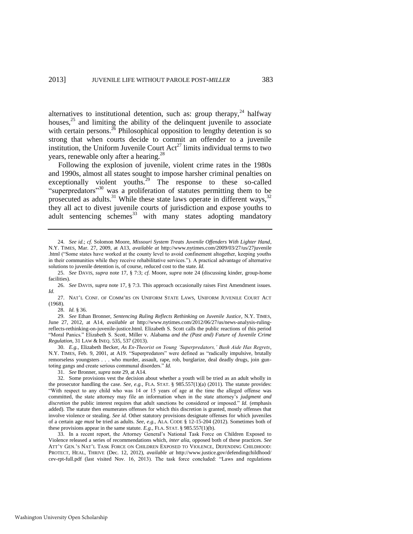<span id="page-5-0"></span>alternatives to institutional detention, such as: group therapy, $24$  halfway houses, $25$  and limiting the ability of the delinquent juvenile to associate with certain persons.<sup>26</sup> Philosophical opposition to lengthy detention is so strong that when courts decide to commit an offender to a juvenile institution, the Uniform Juvenile Court  $Act^{27}$  limits individual terms to two years, renewable only after a hearing.<sup>28</sup>

<span id="page-5-1"></span>Following the explosion of juvenile, violent crime rates in the 1980s and 1990s, almost all states sought to impose harsher criminal penalties on exceptionally violent youths.<sup>29</sup> The response to these so-called "superpredators"<sup>30</sup> was a proliferation of statutes permitting them to be prosecuted as adults. $31$  While these state laws operate in different ways,  $32$ they all act to divest juvenile courts of jurisdiction and expose youths to adult sentencing schemes<sup>33</sup> with many states adopting mandatory

28. *Id.* § 36.

29. *See* Ethan Bronner, *Sentencing Ruling Reflects Rethinking on Juvenile Justice*, N.Y. TIMES, June 27, 2012, at A14, *available at* http://www.nytimes.com/2012/06/27/us/news-analysis-rulingreflects-rethinking-on-juvenile-justice.html. Elizabeth S. Scott calls the public reactions of this period "Moral Panics." Elizabeth S. Scott, Miller v. Alabama *and the (Past and) Future of Juvenile Crime Regulation*, 31 LAW & INEQ. 535, 537 (2013).

30. *E.g.*, Elizabeth Becker, *As Ex-Theorist on Young 'Superpredators,' Bush Aide Has Regrets*, N.Y. TIMES, Feb. 9, 2001, at A19. "Superpredators" were defined as "radically impulsive, brutally remorseless youngsters . . . who murder, assault, rape, rob, burglarize, deal deadly drugs, join guntoting gangs and create serious communal disorders." *Id.*

<span id="page-5-2"></span><sup>24.</sup> *See id.*; *cf.* Solomon Moore, *Missouri System Treats Juvenile Offenders With Lighter Hand*, N.Y. TIMES, Mar. 27, 2009, at A13, *available at* http://www.nytimes.com/2009/03/27/us/27juvenile .html ("Some states have worked at the county level to avoid confinement altogether, keeping youths in their communities while they receive rehabilitative services."). A practical advantage of alternative solutions to juvenile detention is, of course, reduced cost to the state. *Id.*

<sup>25.</sup> *See* DAVIS, *supra* note [17,](#page-4-1) § 7:3; *cf.* Moore, *supra* note [24](#page-5-0) (discussing kinder, group-home facilities).

<sup>26.</sup> *See* DAVIS, *supra* note [17,](#page-4-1) § 7:3. This approach occasionally raises First Amendment issues. *Id.*

<sup>27.</sup> NAT'L CONF. OF COMM'RS ON UNIFORM STATE LAWS, UNIFORM JUVENILE COURT ACT (1968).

<sup>31.</sup> *See* Bronner, *supra* not[e 29,](#page-5-1) at A14.

<sup>32.</sup> Some provisions vest the decision about whether a youth will be tried as an adult wholly in the prosecutor handling the case. *See, e.g.*, FLA. STAT. § 985.557(1)(a) (2011). The statute provides: "With respect to any child who was 14 or 15 years of age at the time the alleged offense was committed, the state attorney may file an information when in the state attorney's *judgment and discretion* the public interest requires that adult sanctions be considered or imposed." *Id.* (emphasis added). The statute then enumerates offenses for which this discretion is granted, mostly offenses that involve violence or stealing. *See id.* Other statutory provisions designate offenses for which juveniles of a certain age *must* be tried as adults. *See, e.g.*, ALA. CODE § 12-15-204 (2012). Sometimes both of these provisions appear in the same statute. *E.g.*, FLA. STAT. § 985.557(1)(b).

<sup>33.</sup> In a recent report, the Attorney General's National Task Force on Children Exposed to Violence released a series of recommendations which, *inter alia*, opposed both of these practices. *See* ATT'Y GEN.'S NAT'L TASK FORCE ON CHILDREN EXPOSED TO VIOLENCE, DEFENDING CHILDHOOD: PROTECT, HEAL, THRIVE (Dec. 12, 2012), *available at* http://www.justice.gov/defendingchildhood/ cev-rpt-full.pdf (last visited Nov. 16, 2013). The task force concluded: "Laws and regulations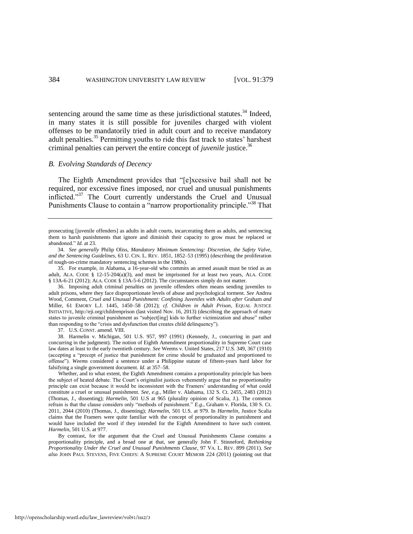sentencing around the same time as these jurisdictional statutes.<sup>34</sup> Indeed, in many states it is still possible for juveniles charged with violent offenses to be mandatorily tried in adult court and to receive mandatory adult penalties.<sup>35</sup> Permitting youths to ride this fast track to states' harshest criminal penalties can pervert the entire concept of *juvenile* justice.<sup>36</sup>

#### *B. Evolving Standards of Decency*

The Eighth Amendment provides that "[e]xcessive bail shall not be required, nor excessive fines imposed, nor cruel and unusual punishments inflicted."<sup>37</sup> The Court currently understands the Cruel and Unusual Punishments Clause to contain a "narrow proportionality principle."<sup>38</sup> That

35. For example, in Alabama, a 16-year-old who commits an armed assault must be tried as an adult, ALA. CODE § 12-15-204(a)(3), and must be imprisoned for at least two years, ALA. CODE § 13A-6-21 (2012); ALA. CODE § 13A-5-6 (2012). The circumstances simply do not matter.

37. U.S. CONST. amend. VIII.

38. Harmelin v. Michigan, 501 U.S. 957, 997 (1991) (Kennedy, J., concurring in part and concurring in the judgment). The notion of Eighth Amendment proportionality in Supreme Court case law dates at least to the early twentieth century. *See* Weems v. United States, 217 U.S. 349, 367 (1910) (accepting a "precept of justice that punishment for crime should be graduated and proportioned to offense"). *Weems* considered a sentence under a Philippine statute of fifteen-years hard labor for falsifying a single government document. *Id.* at 357–58.

 Whether, and to what extent, the Eighth Amendment contains a proportionality principle has been the subject of heated debate. The Court's originalist justices vehemently argue that no proportionality principle can exist because it would be inconsistent with the Framers' understanding of what could constitute a cruel or unusual punishment. *See, e.g.*, Miller v. Alabama, 132 S. Ct. 2455, 2483 (2012) (Thomas, J., dissenting); *Harmelin*, 501 U.S at 965 (plurality opinion of Scalia, J.). The common refrain is that the clause considers only "methods of punishment." *E.g.*, Graham v. Florida, 130 S. Ct. 2011, 2044 (2010) (Thomas, J., dissenting); *Harmelin*, 501 U.S. at 979. In *Harmelin*, Justice Scalia claims that the Framers were quite familiar with the concept of proportionality in punishment and would have included the word if they intended for the Eighth Amendment to have such content. *Harmelin*, 501 U.S. at 977.

 By contrast, for the argument that the Cruel and Unusual Punishments Clause contains a proportionality principle, and a broad one at that, see generally John F. Stinneford, *Rethinking Proportionality Under the Cruel and Unusual Punishments Clause*, 97 VA. L. REV. 899 (2011). *See also* JOHN PAUL STEVENS, FIVE CHIEFS: A SUPREME COURT MEMOIR 224 (2011) (pointing out that

prosecuting [juvenile offenders] as adults in adult courts, incarcerating them as adults, and sentencing them to harsh punishments that ignore and diminish their capacity to grow must be replaced or abandoned." *Id.* at 23.

<sup>34.</sup> *See generally* Philip Oliss, *Mandatory Minimum Sentencing: Discretion, the Safety Valve, and the Sentencing Guidelines*, 63 U. CIN. L. REV. 1851, 1852–53 (1995) (describing the proliferation of tough-on-crime mandatory sentencing schemes in the 1980s).

<sup>36.</sup> Imposing adult criminal penalties on juvenile offenders often means sending juveniles to adult prisons, where they face disproportionate levels of abuse and psychological torment. *See* Andrea Wood, Comment, *Cruel and Unusual Punishment: Confining Juveniles with Adults after Graham and* Miller, 61 EMORY L.J. 1445, 1450–58 (2012); *cf. Children in Adult Prison*, EQUAL JUSTICE INITIATIVE, http://eji.org/childrenprison (last visited Nov. 16, 2013) (describing the approach of many states to juvenile criminal punishment as "subject[ing] kids to further victimization and abuse" rather than responding to the "crisis and dysfunction that creates child delinquency").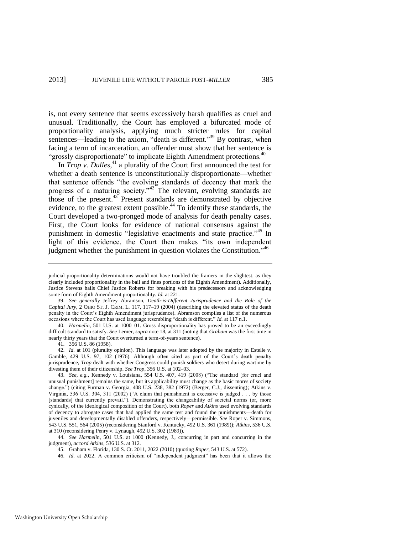is, not every sentence that seems excessively harsh qualifies as cruel and unusual. Traditionally, the Court has employed a bifurcated mode of proportionality analysis, applying much stricter rules for capital sentences—leading to the axiom, "death is different."<sup>39</sup> By contrast, when facing a term of incarceration, an offender must show that her sentence is "grossly disproportionate" to implicate Eighth Amendment protections.<sup>40</sup>

<span id="page-7-0"></span>In *Trop v. Dulles*,<sup>41</sup> a plurality of the Court first announced the test for whether a death sentence is unconstitutionally disproportionate—whether that sentence offends "the evolving standards of decency that mark the progress of a maturing society."<sup>42</sup> The relevant, evolving standards are those of the present.<sup>43</sup> Present standards are demonstrated by objective evidence, to the greatest extent possible.<sup>44</sup> To identify these standards, the Court developed a two-pronged mode of analysis for death penalty cases. First, the Court looks for evidence of national consensus against the punishment in domestic "legislative enactments and state practice."<sup>45</sup> In light of this evidence, the Court then makes "its own independent judgment whether the punishment in question violates the Constitution."<sup>46</sup>

41. 356 U.S. 86 (1958).

42. *Id.* at 101 (plurality opinion). This language was later adopted by the majority in Estelle v. Gamble, 429 U.S. 97, 102 (1976). Although often cited as part of the Court's death penalty jurisprudence, *Trop* dealt with whether Congress could punish soldiers who desert during wartime by divesting them of their citizenship. *See Trop*, 356 U.S. at 102–03.

judicial proportionality determinations would not have troubled the framers in the slightest, as they clearly included proportionality in the bail and fines portions of the Eighth Amendment). Additionally, Justice Stevens hails Chief Justice Roberts for breaking with his predecessors and acknowledging some form of Eighth Amendment proportionality. *Id.* at 221.

<sup>39.</sup> *See generally* Jeffrey Abramson, *Death-is-Different Jurisprudence and the Role of the Capital Jury*, 2 OHIO ST. J. CRIM. L. 117, 117–19 (2004) (describing the elevated status of the death penalty in the Court's Eighth Amendment jurisprudence). Abramson compiles a list of the numerous occasions where the Court has used language resembling "death is different." *Id.* at 117 n.1.

<sup>40.</sup> *Harmelin*, 501 U.S. at 1000–01. Gross disproportionality has proved to be an exceedingly difficult standard to satisfy. *See* Lerner, *supra* note [18,](#page-4-0) at 311 (noting that *Graham* was the first time in nearly thirty years that the Court overturned a term-of-years sentence).

<sup>43.</sup> *See, e.g.*, Kennedy v. Louisiana, 554 U.S. 407, 419 (2008) ("The standard [for cruel and unusual punishment] remains the same, but its applicability must change as the basic mores of society change.") (citing Furman v. Georgia, 408 U.S. 238, 382 (1972) (Berger, C.J., dissenting); Atkins v. Virginia, 536 U.S. 304, 311 (2002) ("A claim that punishment is excessive is judged . . . by those [standards] that currently prevail."). Demonstrating the changeability of societal norms (or, more cynically, of the ideological composition of the Court), both *Roper* and *Atkins* used evolving standards of decency to abrogate cases that had applied the same test and found the punishments—death for juveniles and developmentally disabled offenders, respectively—permissible. *See* Roper v. Simmons, 543 U.S. 551, 564 (2005) (reconsidering Stanford v. Kentucky, 492 U.S. 361 (1989)); *Atkins*, 536 U.S. at 310 (reconsidering Penry v. Lynaugh, 492 U.S. 302 (1989)).

<sup>44.</sup> *See Harmelin*, 501 U.S. at 1000 (Kennedy, J., concurring in part and concurring in the judgment), *accord Atkins*, 536 U.S. at 312.

<sup>45.</sup> Graham v. Florida, 130 S. Ct. 2011, 2022 (2010) (quoting *Roper*, 543 U.S. at 572).

<sup>46.</sup> *Id.* at 2022. A common criticism of "independent judgment" has been that it allows the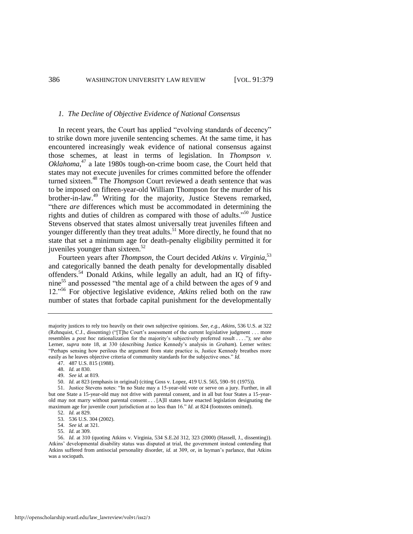#### *1. The Decline of Objective Evidence of National Consensus*

In recent years, the Court has applied "evolving standards of decency" to strike down more juvenile sentencing schemes. At the same time, it has encountered increasingly weak evidence of national consensus against those schemes, at least in terms of legislation. In *Thompson v. Oklahoma*, <sup>47</sup> a late 1980s tough-on-crime boom case, the Court held that states may not execute juveniles for crimes committed before the offender turned sixteen.<sup>48</sup> The *Thompson* Court reviewed a death sentence that was to be imposed on fifteen-year-old William Thompson for the murder of his brother-in-law.<sup>49</sup> Writing for the majority, Justice Stevens remarked, "there *are* differences which must be accommodated in determining the rights and duties of children as compared with those of adults."<sup>50</sup> Justice Stevens observed that states almost universally treat juveniles fifteen and younger differently than they treat adults.<sup>51</sup> More directly, he found that no state that set a minimum age for death-penalty eligibility permitted it for juveniles younger than sixteen.<sup>52</sup>

Fourteen years after *Thompson*, the Court decided *Atkins v. Virginia*, 53 and categorically banned the death penalty for developmentally disabled offenders.<sup>54</sup> Donald Atkins, while legally an adult, had an IQ of fiftynine<sup>55</sup> and possessed "the mental age of a child between the ages of 9 and 12."<sup>56</sup> For objective legislative evidence, *Atkins* relied both on the raw number of states that forbade capital punishment for the developmentally

50. *Id.* at 823 (emphasis in original) (citing Goss v. Lopez, 419 U.S. 565, 590–91 (1975)).

majority justices to rely too heavily on their own subjective opinions. *See, e.g.*, *Atkins*, 536 U.S. at 322 (Rehnquist, C.J., dissenting) ("[T]he Court's assessment of the current legislative judgment . . . more resembles a *post hoc* rationalization for the majority's subjectively preferred result . . . ."); *see also* Lerner, *supra* note [18,](#page-4-0) at 330 (describing Justice Kennedy's analysis in *Graham*). Lerner writes: "Perhaps sensing how perilous the argument from state practice is, Justice Kennedy breathes more easily as he leaves objective criteria of community standards for the subjective ones." *Id.*

<sup>47. 487</sup> U.S. 815 (1988).

<sup>48.</sup> *Id.* at 830.

<sup>49.</sup> *See id.* at 819.

<sup>51.</sup> Justice Stevens notes: "In no State may a 15-year-old vote or serve on a jury. Further, in all but one State a 15-year-old may not drive with parental consent, and in all but four States a 15-yearold may not marry without parental consent . . . [A]ll states have enacted legislation designating the maximum age for juvenile court jurisdiction at no less than 16." *Id.* at 824 (footnotes omitted).

<sup>52.</sup> *Id.* at 829.

<sup>53. 536</sup> U.S. 304 (2002). 54. *See id.* at 321.

<sup>55.</sup> *Id.* at 309.

<sup>56.</sup> *Id.* at 310 (quoting Atkins v. Virginia, 534 S.E.2d 312, 323 (2000) (Hassell, J., dissenting)). Atkins' developmental disability status was disputed at trial, the government instead contending that Atkins suffered from antisocial personality disorder, *id.* at 309, or, in layman's parlance, that Atkins was a sociopath.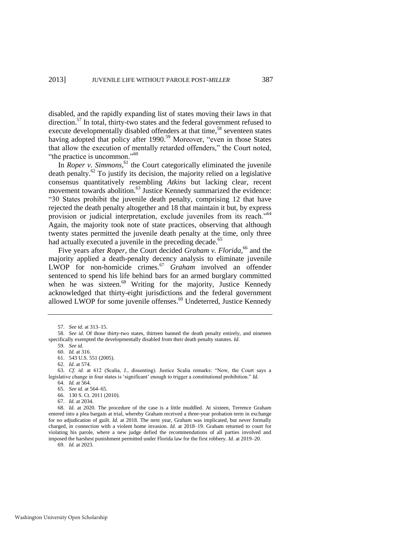disabled, and the rapidly expanding list of states moving their laws in that direction.<sup>57</sup> In total, thirty-two states and the federal government refused to execute developmentally disabled offenders at that time,<sup>58</sup> seventeen states having adopted that policy after 1990.<sup>59</sup> Moreover, "even in those States that allow the execution of mentally retarded offenders," the Court noted, "the practice is uncommon."<sup>60</sup>

In *Roper v. Simmons*,<sup>61</sup> the Court categorically eliminated the juvenile death penalty.<sup>62</sup> To justify its decision, the majority relied on a legislative consensus quantitatively resembling *Atkins* but lacking clear, recent movement towards abolition. $^{63}$  Justice Kennedy summarized the evidence: "30 States prohibit the juvenile death penalty, comprising 12 that have rejected the death penalty altogether and 18 that maintain it but, by express provision or judicial interpretation, exclude juveniles from its reach."<sup>64</sup> Again, the majority took note of state practices, observing that although twenty states permitted the juvenile death penalty at the time, only three had actually executed a juvenile in the preceding decade.<sup>65</sup>

Five years after *Roper*, the Court decided *Graham v. Florida*,<sup>66</sup> and the majority applied a death-penalty decency analysis to eliminate juvenile LWOP for non-homicide crimes.<sup>67</sup> *Graham* involved an offender sentenced to spend his life behind bars for an armed burglary committed when he was sixteen.<sup>68</sup> Writing for the majority, Justice Kennedy acknowledged that thirty-eight jurisdictions and the federal government allowed LWOP for some juvenile offenses.<sup>69</sup> Undeterred, Justice Kennedy

62. *Id.* at 574.

63. *Cf. id.* at 612 (Scalia, J., dissenting). Justice Scalia remarks: "Now, the Court says a legislative change in four states is 'significant' enough to trigger a constitutional prohibition." *Id.*

- 64. *Id.* at 564.
- 65. *See id.* at 564–65. 66. 130 S. Ct. 2011 (2010).
- 67. *Id.* at 2034.
- 

68. *Id.* at 2020. The procedure of the case is a little muddled. At sixteen, Terrence Graham entered into a plea bargain at trial, whereby Graham received a three-year probation term in exchange for no adjudication of guilt. *Id.* at 2018. The next year, Graham was implicated, but never formally charged, in connection with a violent home invasion. *Id.* at 2018–19. Graham returned to court for violating his parole, where a new judge defied the recommendations of all parties involved and imposed the harshest punishment permitted under Florida law for the first robbery. *Id.* at 2019–20.

69. *Id.* at 2023.

<sup>57.</sup> *See id.* at 313–15.

<sup>58.</sup> *See id.* Of those thirty-two states, thirteen banned the death penalty entirely, and nineteen specifically exempted the developmentally disabled from their death penalty statutes. *Id.*

<sup>59.</sup> *See id.*

<sup>60.</sup> *Id.* at 316.

<sup>61. 543</sup> U.S. 551 (2005).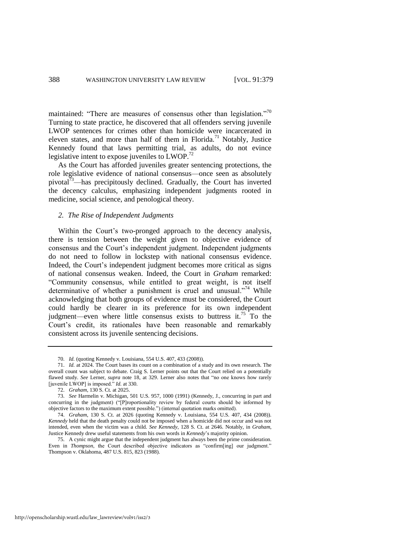maintained: "There are measures of consensus other than legislation."<sup>70</sup> Turning to state practice, he discovered that all offenders serving juvenile LWOP sentences for crimes other than homicide were incarcerated in eleven states, and more than half of them in Florida.<sup>71</sup> Notably, Justice Kennedy found that laws permitting trial, as adults, do not evince legislative intent to expose juveniles to LWOP.<sup>72</sup>

As the Court has afforded juveniles greater sentencing protections, the role legislative evidence of national consensus—once seen as absolutely pivotal<sup>73</sup>—has precipitously declined. Gradually, the Court has inverted the decency calculus, emphasizing independent judgments rooted in medicine, social science, and penological theory.

#### *2. The Rise of Independent Judgments*

Within the Court's two-pronged approach to the decency analysis, there is tension between the weight given to objective evidence of consensus and the Court's independent judgment. Independent judgments do not need to follow in lockstep with national consensus evidence. Indeed, the Court's independent judgment becomes more critical as signs of national consensus weaken. Indeed, the Court in *Graham* remarked: "Community consensus, while entitled to great weight, is not itself determinative of whether a punishment is cruel and unusual."<sup>74</sup> While acknowledging that both groups of evidence must be considered, the Court could hardly be clearer in its preference for its own independent judgment—even where little consensus exists to buttress it.<sup>75</sup> To the Court's credit, its rationales have been reasonable and remarkably consistent across its juvenile sentencing decisions.

<sup>70.</sup> *Id.* (quoting Kennedy v. Louisiana, 554 U.S. 407, 433 (2008)).

<sup>71.</sup> *Id.* at 2024. The Court bases its count on a combination of a study and its own research. The overall count was subject to debate. Craig S. Lerner points out that the Court relied on a potentially flawed study. *See* Lerner, *supra* note [18,](#page-4-0) at 329. Lerner also notes that "no one knows how rarely [juvenile LWOP] is imposed." *Id.* at 330.

<sup>72.</sup> *Graham*, 130 S. Ct. at 2025.

<sup>73.</sup> *See* Harmelin v. Michigan, 501 U.S. 957, 1000 (1991) (Kennedy, J., concurring in part and concurring in the judgment) ("[P]roportionality review by federal courts should be informed by objective factors to the maximum extent possible.") (internal quotation marks omitted).

<sup>74.</sup> *Graham*, 130 S. Ct. at 2026 (quoting Kennedy v. Louisiana, 554 U.S. 407, 434 (2008)). *Kennedy* held that the death penalty could not be imposed when a homicide did not occur and was not intended, even when the victim was a child. *See Kennedy*, 128 S. Ct. at 2646. Notably, in *Graham*, Justice Kennedy drew useful statements from his own words in *Kennedy*'s majority opinion.

<sup>75.</sup> A cynic might argue that the independent judgment has always been the prime consideration. Even in *Thompson*, the Court described objective indicators as "confirm[ing] our judgment." Thompson v. Oklahoma, 487 U.S. 815, 823 (1988).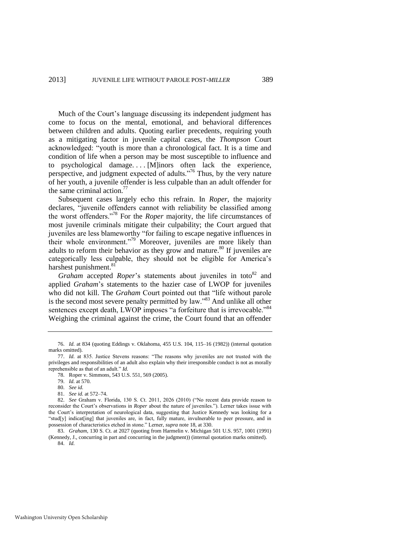Much of the Court's language discussing its independent judgment has come to focus on the mental, emotional, and behavioral differences between children and adults. Quoting earlier precedents, requiring youth as a mitigating factor in juvenile capital cases, the *Thompson* Court acknowledged: "youth is more than a chronological fact. It is a time and condition of life when a person may be most susceptible to influence and to psychological damage. . . . [M]inors often lack the experience, perspective, and judgment expected of adults."<sup>76</sup> Thus, by the very nature of her youth, a juvenile offender is less culpable than an adult offender for the same criminal action.<sup>77</sup>

<span id="page-11-0"></span>Subsequent cases largely echo this refrain. In *Roper*, the majority declares, "juvenile offenders cannot with reliability be classified among the worst offenders."<sup>78</sup> For the *Roper* majority, the life circumstances of most juvenile criminals mitigate their culpability; the Court argued that juveniles are less blameworthy "for failing to escape negative influences in their whole environment."<sup>79</sup> Moreover, juveniles are more likely than adults to reform their behavior as they grow and mature.<sup>80</sup> If juveniles are categorically less culpable, they should not be eligible for America's harshest punishment.<sup>81</sup>

<span id="page-11-1"></span>*Graham* accepted *Roper*'s statements about juveniles in toto<sup>82</sup> and applied *Graham*'s statements to the hazier case of LWOP for juveniles who did not kill. The *Graham* Court pointed out that "life without parole is the second most severe penalty permitted by law."<sup>83</sup> And unlike all other sentences except death, LWOP imposes "a forfeiture that is irrevocable."<sup>84</sup> Weighing the criminal against the crime, the Court found that an offender

<sup>76.</sup> *Id.* at 834 (quoting Eddings v. Oklahoma, 455 U.S. 104, 115–16 (1982)) (internal quotation marks omitted).

<sup>77.</sup> *Id.* at 835. Justice Stevens reasons: "The reasons why juveniles are not trusted with the privileges and responsibilities of an adult also explain why their irresponsible conduct is not as morally reprehensible as that of an adult." *Id.*

<span id="page-11-2"></span><sup>78.</sup> Roper v. Simmons, 543 U.S. 551, 569 (2005).

<sup>79.</sup> *Id.* at 570.

<sup>80.</sup> *See id.*

<sup>81.</sup> *See id.* at 572–74.

<sup>82.</sup> *See* Graham v. Florida, 130 S. Ct. 2011, 2026 (2010) ("No recent data provide reason to reconsider the Court's observations in *Roper* about the nature of juveniles."). Lerner takes issue with the Court's interpretation of neurological data, suggesting that Justice Kennedy was looking for a "stud[y] indicat[ing] that juveniles are, in fact, fully mature, invulnerable to peer pressure, and in possession of characteristics etched in stone." Lerner, *supra* not[e 18,](#page-4-0) at 330.

<sup>83.</sup> *Graham*, 130 S. Ct. at 2027 (quoting from Harmelin v. Michigan 501 U.S. 957, 1001 (1991) (Kennedy, J., concurring in part and concurring in the judgment)) (internal quotation marks omitted). 84. *Id.*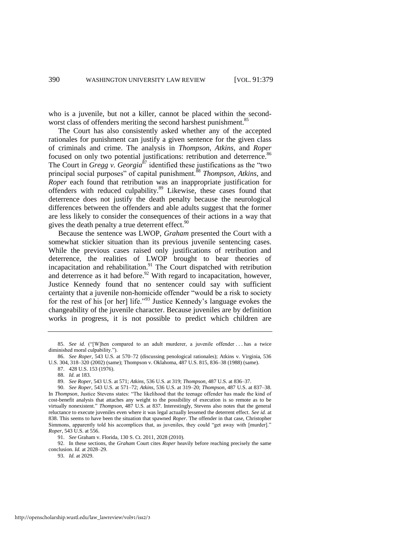who is a juvenile, but not a killer, cannot be placed within the secondworst class of offenders meriting the second harshest punishment.<sup>85</sup>

The Court has also consistently asked whether any of the accepted rationales for punishment can justify a given sentence for the given class of criminals and crime. The analysis in *Thompson*, *Atkins*, and *Roper* focused on only two potential justifications: retribution and deterrence.<sup>86</sup> The Court in *Gregg v. Georgia*<sup>87</sup> identified these justifications as the "two principal social purposes" of capital punishment.<sup>88</sup> *Thompson*, *Atkins*, and *Roper* each found that retribution was an inappropriate justification for offenders with reduced culpability. $\frac{89}{2}$  Likewise, these cases found that deterrence does not justify the death penalty because the neurological differences between the offenders and able adults suggest that the former are less likely to consider the consequences of their actions in a way that gives the death penalty a true deterrent effect. $90$ 

Because the sentence was LWOP, *Graham* presented the Court with a somewhat stickier situation than its previous juvenile sentencing cases. While the previous cases raised only justifications of retribution and deterrence, the realities of LWOP brought to bear theories of incapacitation and rehabilitation.<sup>91</sup> The Court dispatched with retribution and deterrence as it had before.<sup>92</sup> With regard to incapacitation, however, Justice Kennedy found that no sentencer could say with sufficient certainty that a juvenile non-homicide offender "would be a risk to society for the rest of his [or her] life."<sup>93</sup> Justice Kennedy's language evokes the changeability of the juvenile character. Because juveniles are by definition works in progress, it is not possible to predict which children are

91. *See* Graham v. Florida, 130 S. Ct. 2011, 2028 (2010).

92. In these sections, the *Graham* Court cites *Roper* heavily before reaching precisely the same conclusion. *Id.* at 2028–29.

93. *Id.* at 2029.

<sup>85.</sup> *See id.* ("[W]hen compared to an adult murderer, a juvenile offender . . . has a twice diminished moral culpability.").

<sup>86.</sup> *See Roper*, 543 U.S. at 570–72 (discussing penological rationales); Atkins v. Virginia, 536 U.S. 304, 318–320 (2002) (same); Thompson v. Oklahoma, 487 U.S. 815, 836–38 (1988) (same).

<sup>87. 428</sup> U.S. 153 (1976).

<sup>88.</sup> *Id.* at 183.

<sup>89.</sup> *See Roper*, 543 U.S. at 571; *Atkins*, 536 U.S. at 319; *Thompson*, 487 U.S. at 836–37.

<sup>90.</sup> *See Roper*, 543 U.S. at 571–72; *Atkins*, 536 U.S. at 319–20; *Thompson*, 487 U.S. at 837–38. In *Thompson*, Justice Stevens states: "The likelihood that the teenage offender has made the kind of cost-benefit analysis that attaches any weight to the possibility of execution is so remote as to be virtually nonexistent." *Thompson*, 487 U.S. at 837. Interestingly, Stevens also notes that the general reluctance to execute juveniles even where it was legal actually lessened the deterrent effect. *See id.* at 838. This seems to have been the situation that spawned *Roper*. The offender in that case, Christopher Simmons, apparently told his accomplices that, as juveniles, they could "get away with [murder]." *Roper*, 543 U.S. at 556.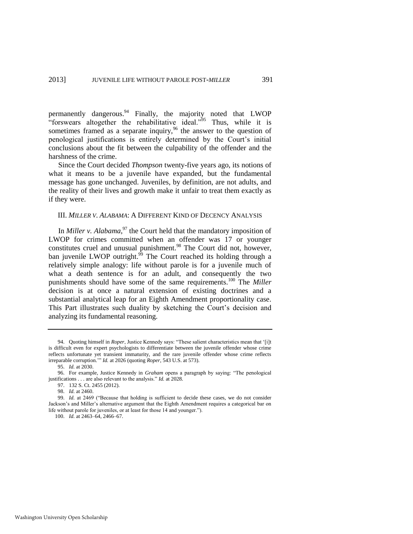permanently dangerous.<sup>94</sup> Finally, the majority noted that LWOP "forswears altogether the rehabilitative ideal."<sup>95</sup> Thus, while it is sometimes framed as a separate inquiry, $96$  the answer to the question of penological justifications is entirely determined by the Court's initial conclusions about the fit between the culpability of the offender and the harshness of the crime.

Since the Court decided *Thompson* twenty-five years ago, its notions of what it means to be a juvenile have expanded, but the fundamental message has gone unchanged. Juveniles, by definition, are not adults, and the reality of their lives and growth make it unfair to treat them exactly as if they were.

#### III. *MILLER V. ALABAMA*: A DIFFERENT KIND OF DECENCY ANALYSIS

In *Miller v. Alabama*,<sup>97</sup> the Court held that the mandatory imposition of LWOP for crimes committed when an offender was 17 or younger constitutes cruel and unusual punishment.<sup>98</sup> The Court did not, however, ban juvenile LWOP outright. $99$  The Court reached its holding through a relatively simple analogy: life without parole is for a juvenile much of what a death sentence is for an adult, and consequently the two punishments should have some of the same requirements.<sup>100</sup> The *Miller* decision is at once a natural extension of existing doctrines and a substantial analytical leap for an Eighth Amendment proportionality case. This Part illustrates such duality by sketching the Court's decision and analyzing its fundamental reasoning.

<sup>94.</sup> Quoting himself in *Roper*, Justice Kennedy says: "These salient characteristics mean that '[i]t is difficult even for expert psychologists to differentiate between the juvenile offender whose crime reflects unfortunate yet transient immaturity, and the rare juvenile offender whose crime reflects irreparable corruption.'" *Id.* at 2026 (quoting *Roper*, 543 U.S. at 573).

<sup>95.</sup> *Id.* at 2030.

<sup>96.</sup> For example, Justice Kennedy in *Graham* opens a paragraph by saying: "The penological justifications . . . are also relevant to the analysis." *Id.* at 2028.

<sup>97. 132</sup> S. Ct. 2455 (2012).

<sup>98.</sup> *Id.* at 2460.

<sup>99.</sup> *Id.* at 2469 ("Because that holding is sufficient to decide these cases, we do not consider Jackson's and Miller's alternative argument that the Eighth Amendment requires a categorical bar on life without parole for juveniles, or at least for those 14 and younger.").

<sup>100.</sup> *Id.* at 2463–64, 2466–67.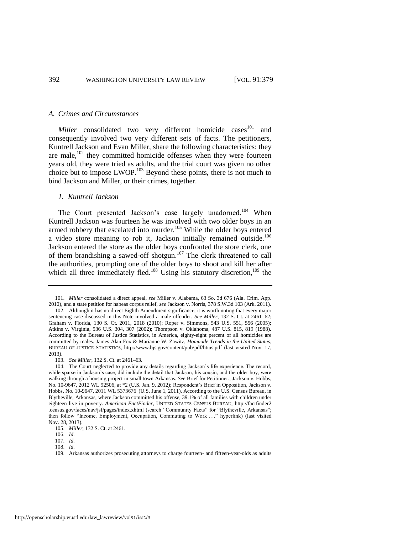#### *A. Crimes and Circumstances*

*Miller* consolidated two very different homicide cases<sup>101</sup> and consequently involved two very different sets of facts. The petitioners, Kuntrell Jackson and Evan Miller, share the following characteristics: they are male,<sup>102</sup> they committed homicide offenses when they were fourteen years old, they were tried as adults, and the trial court was given no other choice but to impose  $LWOP$ <sup>103</sup> Beyond these points, there is not much to bind Jackson and Miller, or their crimes, together.

#### *1. Kuntrell Jackson*

The Court presented Jackson's case largely unadorned.<sup>104</sup> When Kuntrell Jackson was fourteen he was involved with two older boys in an armed robbery that escalated into murder.<sup>105</sup> While the older boys entered a video store meaning to rob it, Jackson initially remained outside.<sup>106</sup> Jackson entered the store as the older boys confronted the store clerk, one of them brandishing a sawed-off shotgun.<sup>107</sup> The clerk threatened to call the authorities, prompting one of the older boys to shoot and kill her after which all three immediately fled.<sup>108</sup> Using his statutory discretion,<sup>109</sup> the

<sup>101.</sup> *Miller* consolidated a direct appeal, *see* Miller v. Alabama, 63 So. 3d 676 (Ala. Crim. App. 2010), and a state petition for habeas corpus relief, *see* Jackson v. Norris, 378 S.W.3d 103 (Ark. 2011). 102. Although it has no direct Eighth Amendment significance, it is worth noting that every major sentencing case discussed in this Note involved a male offender. *See Miller*, 132 S. Ct. at 2461–62; Graham v. Florida, 130 S. Ct. 2011, 2018 (2010); Roper v. Simmons, 543 U.S. 551, 556 (2005); Atkins v. Virginia, 536 U.S. 304, 307 (2002); Thompson v. Oklahoma, 487 U.S. 815, 819 (1988). According to the Bureau of Justice Statistics, in America, eighty-eight percent of all homicides are committed by males. James Alan Fox & Marianne W. Zawitz, *Homicide Trends in the United States*, BUREAU OF JUSTICE STATISTICS, http://www.bjs.gov/content/pub/pdf/htius.pdf (last visited Nov. 17, 2013).

<sup>103.</sup> *See Miller*, 132 S. Ct. at 2461–63.

<sup>104.</sup> The Court neglected to provide any details regarding Jackson's life experience. The record, while sparse in Jackson's case, did include the detail that Jackson, his cousin, and the older boy, were walking through a housing project in small town Arkansas. *See* Brief for Petitioner., Jackson v. Hobbs, No. 10-9647, 2012 WL 92506, at \*2 (U.S. Jan. 9, 2012); Respondent's Brief in Opposition, Jackson v. Hobbs, No. 10-9647, 2011 WL 5373676 (U.S. June 1, 2011). According to the U.S. Census Bureau, in Blytheville, Arkansas, where Jackson committed his offense, 39.1% of all families with children under eighteen live in poverty. *American FactFinder*, UNITED STATES CENSUS BUREAU, http://factfinder2 .census.gov/faces/nav/jsf/pages/index.xhtml (search "Community Facts" for "Blytheville, Arkansas"; then follow "Income, Employment, Occupation, Commuting to Work . . ." hyperlink) (last visited Nov. 28, 2013).

<sup>105.</sup> *Miller*, 132 S. Ct. at 2461.

<sup>106.</sup> *Id.*

<sup>107.</sup> *Id.*

<sup>108.</sup> *Id.*

<sup>109.</sup> Arkansas authorizes prosecuting attorneys to charge fourteen- and fifteen-year-olds as adults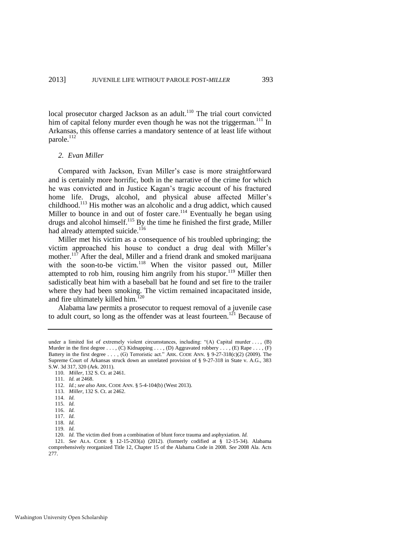local prosecutor charged Jackson as an adult.<sup>110</sup> The trial court convicted him of capital felony murder even though he was not the triggerman.<sup>111</sup> In Arkansas, this offense carries a mandatory sentence of at least life without parole.<sup>112</sup>

#### *2. Evan Miller*

Compared with Jackson, Evan Miller's case is more straightforward and is certainly more horrific, both in the narrative of the crime for which he was convicted and in Justice Kagan's tragic account of his fractured home life. Drugs, alcohol, and physical abuse affected Miller's childhood.<sup>113</sup> His mother was an alcoholic and a drug addict, which caused Miller to bounce in and out of foster care.<sup>114</sup> Eventually he began using drugs and alcohol himself.<sup>115</sup> By the time he finished the first grade, Miller had already attempted suicide.<sup>116</sup>

Miller met his victim as a consequence of his troubled upbringing; the victim approached his house to conduct a drug deal with Miller's mother.<sup>117</sup> After the deal, Miller and a friend drank and smoked marijuana with the soon-to-be victim.<sup>118</sup> When the visitor passed out, Miller attempted to rob him, rousing him angrily from his stupor.<sup>119</sup> Miller then sadistically beat him with a baseball bat he found and set fire to the trailer where they had been smoking. The victim remained incapacitated inside, and fire ultimately killed him.<sup>120</sup>

Alabama law permits a prosecutor to request removal of a juvenile case to adult court, so long as the offender was at least fourteen.<sup>121</sup> Because of

- 111. *Id.* at 2468.
- 112. *Id.*; *see also* ARK. CODE ANN. § 5-4-104(b) (West 2013).
- 113. *Miller*, 132 S. Ct. at 2462.
- 114. *Id.*
- 115. *Id.*
- 116. *Id.*
- 117. *Id.* 118. *Id.*
- 119. *Id.*
- 

120. *Id.* The victim died from a combination of blunt force trauma and asphyxiation. *Id.*

121. *See* ALA. CODE § 12-15-203(a) (2012). (formerly codified at § 12-15-34). Alabama comprehensively reorganized Title 12, Chapter 15 of the Alabama Code in 2008. *See* 2008 Ala. Acts 277.

under a limited list of extremely violent circumstances, including: "(A) Capital murder . . . , (B) Murder in the first degree . . . , (C) Kidnapping . . . , (D) Aggravated robbery . . . , (E) Rape . . . , (F) Battery in the first degree . . . , (G) Terroristic act." ARK. CODE ANN. § 9-27-318(c)(2) (2009). The Supreme Court of Arkansas struck down an unrelated provision of § 9-27-318 in State v. A.G., 383 S.W. 3d 317, 320 (Ark. 2011).

<sup>110.</sup> *Miller*, 132 S. Ct. at 2461.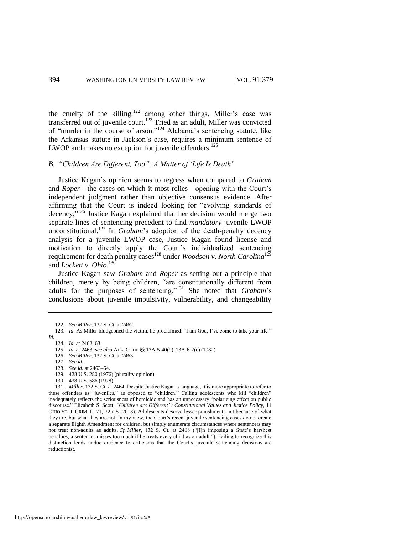the cruelty of the killing,<sup>122</sup> among other things, Miller's case was transferred out of juvenile court.<sup>123</sup> Tried as an adult, Miller was convicted of "murder in the course of arson."<sup>124</sup> Alabama's sentencing statute, like the Arkansas statute in Jackson's case, requires a minimum sentence of LWOP and makes no exception for juvenile offenders.<sup>125</sup>

#### *B. "Children Are Different, Too": A Matter of 'Life Is Death'*

<span id="page-16-0"></span>Justice Kagan's opinion seems to regress when compared to *Graham* and *Roper*—the cases on which it most relies—opening with the Court's independent judgment rather than objective consensus evidence. After affirming that the Court is indeed looking for "evolving standards of decency,"<sup>126</sup> Justice Kagan explained that her decision would merge two separate lines of sentencing precedent to find *mandatory* juvenile LWOP unconstitutional.<sup>127</sup> In *Graham*'s adoption of the death-penalty decency analysis for a juvenile LWOP case, Justice Kagan found license and motivation to directly apply the Court's individualized sentencing requirement for death penalty cases<sup>128</sup> under *Woodson v. North Carolina*<sup>129</sup> and *Lockett v. Ohio*. 130

Justice Kagan saw *Graham* and *Roper* as setting out a principle that children, merely by being children, "are constitutionally different from adults for the purposes of sentencing."<sup>131</sup> She noted that *Graham*'s conclusions about juvenile impulsivity, vulnerability, and changeability

*Id.*

- 126. *See Miller*, 132 S. Ct. at 2463.
- 127. *See id.*
- 128. *See id.* at 2463–64.

130. 438 U.S. 586 (1978).

<span id="page-16-1"></span><sup>122.</sup> *See Miller*, 132 S. Ct. at 2462.

<sup>123.</sup> *Id.* As Miller bludgeoned the victim, he proclaimed: "I am God, I've come to take your life."

<sup>124.</sup> *Id.* at 2462–63.

<sup>125.</sup> *Id.* at 2463; *see also* ALA. CODE §§ 13A-5-40(9), 13A-6-2(c) (1982).

<sup>129. 428</sup> U.S. 280 (1976) (plurality opinion).

<sup>131.</sup> *Miller*, 132 S. Ct. at 2464. Despite Justice Kagan's language, it is more appropriate to refer to these offenders as "juveniles," as opposed to "children." Calling adolescents who kill "children" inadequately reflects the seriousness of homicide and has an unnecessary "polarizing effect on public discourse." Elizabeth S. Scott, *"Children are Different": Constitutional Values and Justice Policy*, 11 OHIO ST. J. CRIM. L. 71, 72 n.5 (2013). Adolescents deserve lesser punishments not because of what they are, but what they are not. In my view, the Court's recent juvenile sentencing cases do not create a separate Eighth Amendment for children, but simply enumerate circumstances where sentencers may not treat non-adults as adults. *Cf. Miller*, 132 S. Ct. at 2468 ("[I]n imposing a State's harshest penalties, a sentencer misses too much if he treats every child as an adult."). Failing to recognize this distinction lends undue credence to criticisms that the Court's juvenile sentencing decisions are reductionist.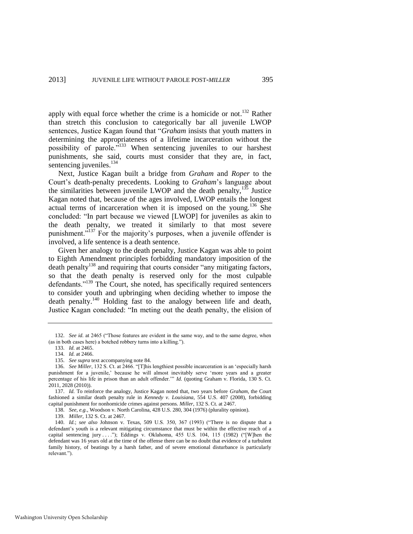apply with equal force whether the crime is a homicide or not.<sup>132</sup> Rather than stretch this conclusion to categorically bar all juvenile LWOP sentences, Justice Kagan found that "*Graham* insists that youth matters in determining the appropriateness of a lifetime incarceration without the possibility of parole."<sup>133</sup> When sentencing juveniles to our harshest punishments, she said, courts must consider that they are, in fact, sentencing juveniles. $134$ 

Next, Justice Kagan built a bridge from *Graham* and *Roper* to the Court's death-penalty precedents. Looking to *Graham*'s language about the similarities between juvenile LWOP and the death penalty, $135$  Justice Kagan noted that, because of the ages involved, LWOP entails the longest actual terms of incarceration when it is imposed on the young.<sup>136</sup> She concluded: "In part because we viewed [LWOP] for juveniles as akin to the death penalty, we treated it similarly to that most severe punishment.<sup>5137</sup> For the majority's purposes, when a juvenile offender is involved, a life sentence is a death sentence.

Given her analogy to the death penalty, Justice Kagan was able to point to Eighth Amendment principles forbidding mandatory imposition of the death penalty<sup>138</sup> and requiring that courts consider "any mitigating factors, so that the death penalty is reserved only for the most culpable defendants."<sup>139</sup> The Court, she noted, has specifically required sentencers to consider youth and upbringing when deciding whether to impose the death penalty.<sup>140</sup> Holding fast to the analogy between life and death, Justice Kagan concluded: "In meting out the death penalty, the elision of

139. *Miller*, 132 S. Ct. at 2467.

<sup>132.</sup> *See id.* at 2465 ("Those features are evident in the same way, and to the same degree, when (as in both cases here) a botched robbery turns into a killing.").

<sup>133.</sup> *Id.* at 2465.

<sup>134.</sup> *Id.* at 2466.

<sup>135.</sup> *See supra* text accompanying not[e 84.](#page-11-2)

<sup>136.</sup> *See Miller*, 132 S. Ct. at 2466. "[T]his lengthiest possible incarceration is an 'especially harsh punishment for a juvenile,' because he will almost inevitably serve 'more years and a greater percentage of his life in prison than an adult offender.'" *Id.* (quoting Graham v. Florida, 130 S. Ct. 2011, 2028 (2010)).

<sup>137.</sup> *Id.* To reinforce the analogy, Justice Kagan noted that, two years before *Graham*, the Court fashioned a similar death penalty rule in *Kennedy v. Louisiana*, 554 U.S. 407 (2008), forbidding capital punishment for nonhomicide crimes against persons. *Miller*, 132 S. Ct. at 2467.

<sup>138.</sup> *See, e.g.*, Woodson v. North Carolina, 428 U.S. 280, 304 (1976) (plurality opinion).

<sup>140.</sup> *Id.*; *see also* Johnson v. Texas, 509 U.S. 350, 367 (1993) ("There is no dispute that a defendant's youth is a relevant mitigating circumstance that must be within the effective reach of a capital sentencing jury ...."); Eddings v. Oklahoma,  $455$  U.S. 104, 115 (1982) ("[W]hen the defendant was 16 years old at the time of the offense there can be no doubt that evidence of a turbulent family history, of beatings by a harsh father, and of severe emotional disturbance is particularly relevant.").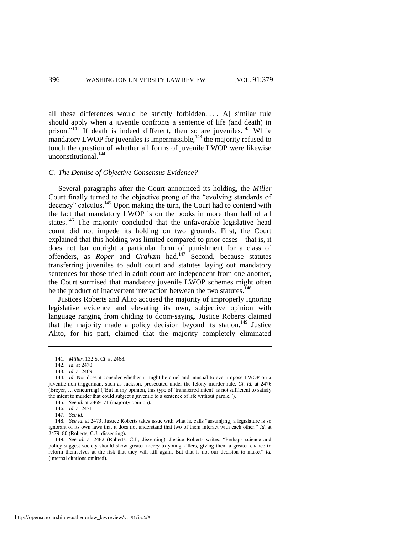all these differences would be strictly forbidden. . . . [A] similar rule should apply when a juvenile confronts a sentence of life (and death) in prison."<sup>141</sup> If death is indeed different, then so are juveniles.<sup>142</sup> While mandatory LWOP for juveniles is impermissible,<sup>143</sup> the majority refused to touch the question of whether all forms of juvenile LWOP were likewise unconstitutional.<sup>144</sup>

#### <span id="page-18-1"></span>*C. The Demise of Objective Consensus Evidence?*

Several paragraphs after the Court announced its holding, the *Miller* Court finally turned to the objective prong of the "evolving standards of decency" calculus.<sup>145</sup> Upon making the turn, the Court had to contend with the fact that mandatory LWOP is on the books in more than half of all states.<sup>146</sup> The majority concluded that the unfavorable legislative head count did not impede its holding on two grounds. First, the Court explained that this holding was limited compared to prior cases—that is, it does not bar outright a particular form of punishment for a class of offenders, as *Roper* and *Graham* had.<sup>147</sup> Second, because statutes transferring juveniles to adult court and statutes laying out mandatory sentences for those tried in adult court are independent from one another, the Court surmised that mandatory juvenile LWOP schemes might often be the product of inadvertent interaction between the two statutes.<sup>148</sup>

Justices Roberts and Alito accused the majority of improperly ignoring legislative evidence and elevating its own, subjective opinion with language ranging from chiding to doom-saying. Justice Roberts claimed that the majority made a policy decision beyond its station.<sup>149</sup> Justice Alito, for his part, claimed that the majority completely eliminated

<span id="page-18-0"></span><sup>141.</sup> *Miller*, 132 S. Ct. at 2468.

<sup>142.</sup> *Id.* at 2470.

<sup>143.</sup> *Id.* at 2469.

<sup>144.</sup> *Id.* Nor does it consider whether it might be cruel and unusual to ever impose LWOP on a juvenile non-triggerman, such as Jackson, prosecuted under the felony murder rule. *Cf. id.* at 2476 (Breyer, J., concurring) ("But in my opinion, this type of 'transferred intent' is not sufficient to satisfy the intent to murder that could subject a juvenile to a sentence of life without parole.").

<sup>145.</sup> *See id.* at 2469–71 (majority opinion).

<sup>146.</sup> *Id.* at 2471.

<sup>147.</sup> *See id.*

<sup>148.</sup> *See id.* at 2473. Justice Roberts takes issue with what he calls "assum[ing] a legislature is so ignorant of its own laws that it does not understand that two of them interact with each other." *Id.* at 2479–80 (Roberts, C.J., dissenting).

<sup>149.</sup> *See id.* at 2482 (Roberts, C.J., dissenting). Justice Roberts writes: "Perhaps science and policy suggest society should show greater mercy to young killers, giving them a greater chance to reform themselves at the risk that they will kill again. But that is not our decision to make." *Id.* (internal citations omitted).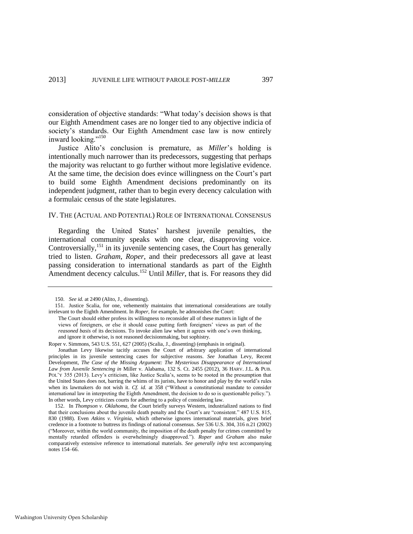<span id="page-19-2"></span>consideration of objective standards: "What today's decision shows is that our Eighth Amendment cases are no longer tied to any objective indicia of society's standards. Our Eighth Amendment case law is now entirely inward looking."<sup>150</sup>

Justice Alito's conclusion is premature, as *Miller*'s holding is intentionally much narrower than its predecessors, suggesting that perhaps the majority was reluctant to go further without more legislative evidence. At the same time, the decision does evince willingness on the Court's part to build some Eighth Amendment decisions predominantly on its independent judgment, rather than to begin every decency calculation with a formulaic census of the state legislatures.

#### IV. THE (ACTUAL AND POTENTIAL) ROLE OF INTERNATIONAL CONSENSUS

<span id="page-19-1"></span>Regarding the United States' harshest juvenile penalties, the international community speaks with one clear, disapproving voice. Controversially, $151$  in its juvenile sentencing cases, the Court has generally tried to listen. *Graham*, *Roper*, and their predecessors all gave at least passing consideration to international standards as part of the Eighth Amendment decency calculus.<sup>152</sup> Until *Miller*, that is. For reasons they did

<span id="page-19-0"></span><sup>150.</sup> *See id.* at 2490 (Alito, J., dissenting).

<sup>151.</sup> Justice Scalia, for one, vehemently maintains that international considerations are totally irrelevant to the Eighth Amendment. In *Roper*, for example, he admonishes the Court:

The Court should either profess its willingness to reconsider all of these matters in light of the views of foreigners, or else it should cease putting forth foreigners' views as part of the *reasoned basis* of its decisions. To invoke alien law when it agrees with one's own thinking, and ignore it otherwise, is not reasoned decisionmaking, but sophistry.

Roper v. Simmons, 543 U.S. 551, 627 (2005) (Scalia, J., dissenting) (emphasis in original).

Jonathan Levy likewise tacitly accuses the Court of arbitrary application of international principles in its juvenile sentencing cases for subjective reasons. *See* Jonathan Levy, Recent Development, *The Case of the Missing Argument: The Mysterious Disappearance of International Law from Juvenile Sentencing in* Miller v. Alabama, 132 S. Ct. 2455 (2012), 36 HARV. J.L. & PUB. POL'Y 355 (2013). Levy's criticism, like Justice Scalia's, seems to be rooted in the presumption that the United States does not, barring the whims of its jurists, have to honor and play by the world's rules when its lawmakers do not wish it. *Cf. id.* at 358 ("Without a constitutional mandate to consider international law in interpreting the Eighth Amendment, the decision to do so is questionable policy."). In other words, Levy criticizes courts for adhering to a policy of considering law.

<sup>152.</sup> In *Thompson v. Oklahoma*, the Court briefly surveys Western, industrialized nations to find that their conclusions about the juvenile death penalty and the Court's are "consistent." 487 U.S. 815, 830 (1988). Even *Atkins v. Virginia*, which otherwise ignores international materials, gives brief credence in a footnote to buttress its findings of national consensus. *See* 536 U.S. 304, 316 n.21 (2002) ("Moreover, within the world community, the imposition of the death penalty for crimes committed by mentally retarded offenders is overwhelmingly disapproved."). *Roper* and *Graham* also make comparatively extensive reference to international materials. *See generally infra* text accompanying notes [154–](#page-20-0)66.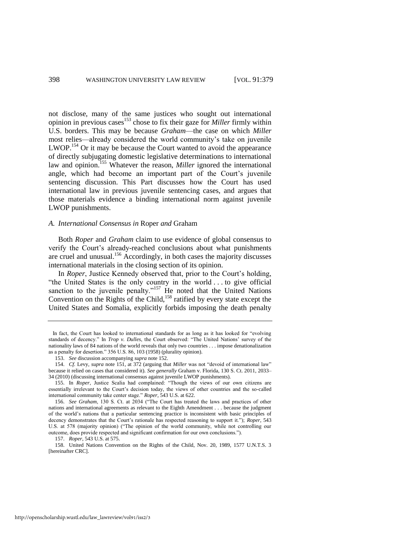<span id="page-20-0"></span>not disclose, many of the same justices who sought out international opinion in previous cases<sup>153</sup> chose to fix their gaze for *Miller* firmly within U.S. borders. This may be because *Graham*—the case on which *Miller* most relies—already considered the world community's take on juvenile LWOP.<sup>154</sup> Or it may be because the Court wanted to avoid the appearance of directly subjugating domestic legislative determinations to international law and opinion.<sup>155</sup> Whatever the reason, *Miller* ignored the international angle, which had become an important part of the Court's juvenile sentencing discussion. This Part discusses how the Court has used international law in previous juvenile sentencing cases, and argues that those materials evidence a binding international norm against juvenile LWOP punishments.

#### *A. International Consensus in* Roper *and* Graham

Both *Roper* and *Graham* claim to use evidence of global consensus to verify the Court's already-reached conclusions about what punishments are cruel and unusual.<sup>156</sup> Accordingly, in both cases the majority discusses international materials in the closing section of its opinion.

In *Roper*, Justice Kennedy observed that, prior to the Court's holding, "the United States is the only country in the world . . . to give official sanction to the juvenile penalty."<sup>157</sup> He noted that the United Nations Convention on the Rights of the Child,<sup>158</sup> ratified by every state except the United States and Somalia, explicitly forbids imposing the death penalty

158. United Nations Convention on the Rights of the Child, Nov. 20, 1989, 1577 U.N.T.S. 3 [hereinafter CRC].

In fact, the Court has looked to international standards for as long as it has looked for "evolving standards of decency." In *Trop v. Dulles*, the Court observed: "The United Nations' survey of the nationality laws of 84 nations of the world reveals that only two countries . . . impose denationalization as a penalty for desertion." 356 U.S. 86, 103 (1958) (plurality opinion).

<sup>153.</sup> *See* discussion accompanying *supra* not[e 152.](#page-19-0) 

<sup>154.</sup> *Cf.* Levy, *supra* not[e 151,](#page-19-1) at 372 (arguing that *Miller* was not "devoid of international law" because it relied on cases that considered it). *See generally* Graham v. Florida, 130 S. Ct. 2011, 2033– 34 (2010) (discussing international consensus against juvenile LWOP punishments).

<sup>155.</sup> In *Roper*, Justice Scalia had complained: "Though the views of our own citizens are essentially irrelevant to the Court's decision today, the views of other countries and the so-called international community take center stage." *Roper*, 543 U.S. at 622.

<sup>156.</sup> *See Graham*, 130 S. Ct. at 2034 ("The Court has treated the laws and practices of other nations and international agreements as relevant to the Eighth Amendment . . . because the judgment of the world's nations that a particular sentencing practice is inconsistent with basic principles of decency demonstrates that the Court's rationale has respected reasoning to support it."); *Roper*, 543 U.S. at 578 (majority opinion) ("The opinion of the world community, while not controlling our outcome, does provide respected and significant confirmation for our own conclusions.").

<sup>157.</sup> *Roper*, 543 U.S. at 575.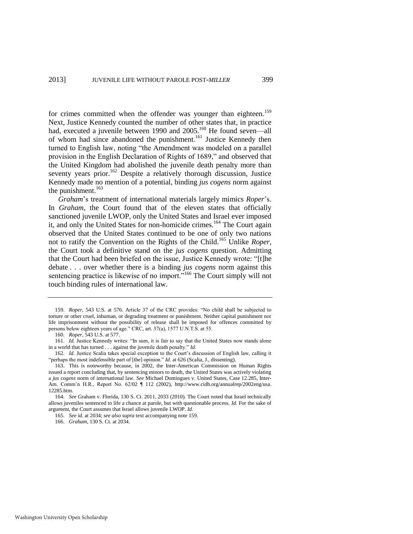<span id="page-21-0"></span>for crimes committed when the offender was younger than eighteen.<sup>159</sup> Next, Justice Kennedy counted the number of other states that, in practice had, executed a juvenile between 1990 and 2005.<sup>160</sup> He found seven—all of whom had since abandoned the punishment.<sup>161</sup> Justice Kennedy then turned to English law, noting "the Amendment was modeled on a parallel provision in the English Declaration of Rights of 1689," and observed that the United Kingdom had abolished the juvenile death penalty more than seventy years prior.<sup>162</sup> Despite a relatively thorough discussion, Justice Kennedy made no mention of a potential, binding *jus cogens* norm against the punishment. $163$ 

*Graham*'s treatment of international materials largely mimics *Roper*'s. In *Graham*, the Court found that of the eleven states that officially sanctioned juvenile LWOP, only the United States and Israel ever imposed it, and only the United States for non-homicide crimes.<sup>164</sup> The Court again observed that the United States continued to be one of only two nations not to ratify the Convention on the Rights of the Child.<sup>165</sup> Unlike *Roper*, the Court took a definitive stand on the *jus cogens* question. Admitting that the Court had been briefed on the issue, Justice Kennedy wrote: "[t]he debate . . . over whether there is a binding *jus cogens* norm against this sentencing practice is likewise of no import.<sup>"166</sup> The Court simply will not touch binding rules of international law.

<span id="page-21-1"></span><sup>159.</sup> *Roper*, 543 U.S. at 576. Article 37 of the CRC provides: "No child shall be subjected to torture or other cruel, inhuman, or degrading treatment or punishment. Neither capital punishment nor life imprisonment without the possibility of release shall be imposed for offences committed by persons below eighteen years of age." CRC, art. 37(a), 1577 U.N.T.S. at 55.

<sup>160.</sup> *Roper*, 543 U.S. at 577.

<sup>161.</sup> *Id.* Justice Kennedy writes: "In sum, it is fair to say that the United States now stands alone in a world that has turned . . . against the juvenile death penalty." *Id.*

<sup>162.</sup> *Id.* Justice Scalia takes special exception to the Court's discussion of English law, calling it "perhaps the most indefensible part of [the] opinion." *Id.* at 626 (Scalia, J., dissenting).

<sup>163.</sup> This is noteworthy because, in 2002, the Inter-American Commission on Human Rights issued a report concluding that, by sentencing minors to death, the United States was actively violating a *jus cogens* norm of international law. *See* Michael Domingues v. United States, Case 12.285, Inter-Am. Comm'n H.R., Report No. 62/02 ¶ 112 (2002), [http://www.cidh.org/annualrep/2002eng/usa.](http://www.cidh.org/annualrep/2002eng/usa)  12285.htm.

<sup>164.</sup> *See* Graham v. Florida, 130 S. Ct. 2011, 2033 (2010). The Court noted that Israel technically allows juveniles sentenced to life a chance at parole, but with questionable process. *Id.* For the sake of argument, the Court assumes that Israel allows juvenile LWOP. *Id.*

<sup>165.</sup> *See id.* at 2034; *see also supra* text accompanying note [159.](#page-21-0) 

<sup>166.</sup> *Graham*, 130 S. Ct. at 2034.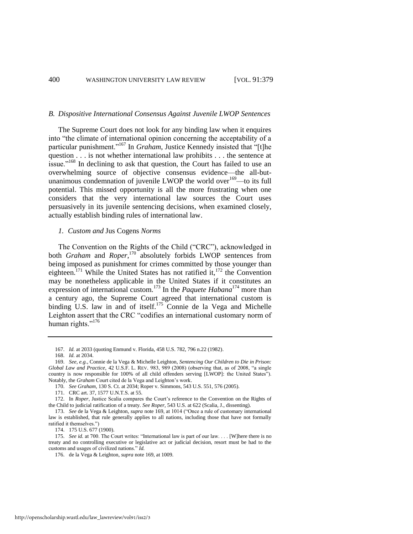#### *B. Dispositive International Consensus Against Juvenile LWOP Sentences*

<span id="page-22-2"></span>The Supreme Court does not look for any binding law when it enquires into "the climate of international opinion concerning the acceptability of a particular punishment."<sup>167</sup> In *Graham*, Justice Kennedy insisted that "[t]he question  $\ldots$  is not whether international law prohibits  $\ldots$  the sentence at issue."<sup>168</sup> In declining to ask that question, the Court has failed to use an overwhelming source of objective consensus evidence—the all-butunanimous condemnation of juvenile LWOP the world over $169$ —to its full potential. This missed opportunity is all the more frustrating when one considers that the very international law sources the Court uses persuasively in its juvenile sentencing decisions, when examined closely, actually establish binding rules of international law.

#### <span id="page-22-0"></span>*1. Custom and* Jus Cogens *Norms*

<span id="page-22-1"></span>The Convention on the Rights of the Child ("CRC"), acknowledged in both *Graham* and *Roper*, <sup>170</sup> absolutely forbids LWOP sentences from being imposed as punishment for crimes committed by those younger than eighteen.<sup>171</sup> While the United States has not ratified it,  $172$  the Convention may be nonetheless applicable in the United States if it constitutes an expression of international custom.<sup>173</sup> In the *Paquete Habana*<sup>174</sup> more than a century ago, the Supreme Court agreed that international custom is binding U.S. law in and of itself.<sup>175</sup> Connie de la Vega and Michelle Leighton assert that the CRC "codifies an international customary norm of human rights."<sup>176</sup>

174. 175 U.S. 677 (1900).

<sup>167.</sup> *Id.* at 2033 (quoting Enmund v. Florida, 458 U.S. 782, 796 n.22 (1982).

<sup>168.</sup> *Id.* at 2034.

<sup>169.</sup> *See, e.g.*, Connie de la Vega & Michelle Leighton, *Sentencing Our Children to Die in Prison: Global Law and Practice*, 42 U.S.F. L. REV. 983, 989 (2008) (observing that, as of 2008, "a single country is now responsible for 100% of all child offenders serving [LWOP]: the United States"). Notably, the *Graham* Court cited de la Vega and Leighton's work.

<sup>170.</sup> *See Graham*, 130 S. Ct. at 2034; Roper v. Simmons, 543 U.S. 551, 576 (2005).

<sup>171.</sup> CRC art. 37, 1577 U.N.T.S. at 55.

<sup>172.</sup> In *Roper*, Justice Scalia compares the Court's reference to the Convention on the Rights of the Child to judicial ratification of a treaty. *See Roper*, 543 U.S. at 622 (Scalia, J., dissenting).

<sup>173.</sup> *See* de la Vega & Leighton, *supra* note [169,](#page-22-0) at 1014 ("Once a rule of customary international law is established, that rule generally applies to all nations, including those that have not formally ratified it themselves.")

<sup>175.</sup> *See id.* at 700. The Court writes: "International law is part of our law. . . . [W]here there is no treaty and no controlling executive or legislative act or judicial decision, resort must be had to the customs and usages of civilized nations." *Id.*

<sup>176.</sup> de la Vega & Leighton, *supra* not[e 169,](#page-22-0) at 1009.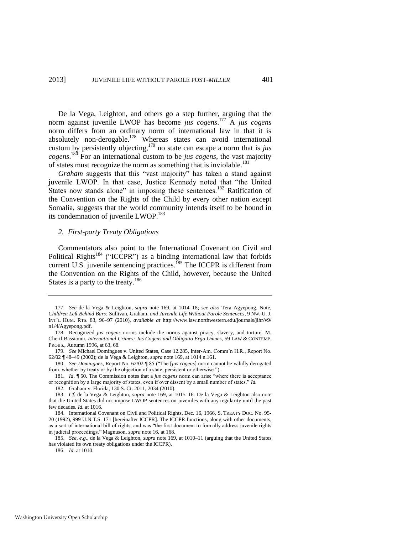De la Vega, Leighton, and others go a step further, arguing that the norm against juvenile LWOP has become *jus cogens*. <sup>177</sup> A *jus cogens* norm differs from an ordinary norm of international law in that it is absolutely non-derogable.<sup>178</sup> Whereas states can avoid international custom by persistently objecting,<sup>179</sup> no state can escape a norm that is *jus cogens*. <sup>180</sup> For an international custom to be *jus cogens*, the vast majority of states must recognize the norm as something that is inviolable.<sup>181</sup>

<span id="page-23-0"></span>*Graham* suggests that this "vast majority" has taken a stand against juvenile LWOP. In that case, Justice Kennedy noted that "the United States now stands alone" in imposing these sentences.<sup>182</sup> Ratification of the Convention on the Rights of the Child by every other nation except Somalia, suggests that the world community intends itself to be bound in its condemnation of juvenile LWOP.<sup>183</sup>

#### *2. First-party Treaty Obligations*

Commentators also point to the International Covenant on Civil and Political Rights<sup>184</sup> ("ICCPR") as a binding international law that forbids current U.S. juvenile sentencing practices.<sup>185</sup> The ICCPR is different from the Convention on the Rights of the Child, however, because the United States is a party to the treaty.<sup>186</sup>

<sup>177.</sup> *See* de la Vega & Leighton, *supra* note [169,](#page-22-0) at 1014–18; *see also* Tera Agyepong, Note, *Children Left Behind Bars:* Sullivan*,* Graham*, and Juvenile Life Without Parole Sentences*, 9 NW. U. J. INT'L HUM. RTS. 83, 96–97 (2010), *available at* http://www.law.northwestern.edu/journals/jihr/v9/ n1/4/Agyepong.pdf.

<sup>178.</sup> Recognized *jus cogens* norms include the norms against piracy, slavery, and torture. M. Cherif Bassiouni, *International Crimes: Jus Cogens and Obligatio Erga Omnes*, 59 LAW & CONTEMP. PROBS., Autumn 1996, at 63, 68.

<sup>179.</sup> *See* Michael Domingues v. United States, Case 12.285, Inter-Am. Comm'n H.R., Report No. 62/02 ¶ 48–49 (2002); de la Vega & Leighton, *supra* not[e 169,](#page-22-0) at 1014 n.161.

<sup>180.</sup> *See Domingues*, Report No. 62/02 ¶ 85 ("The [*jus cogens*] norm cannot be validly derogated from, whether by treaty or by the objection of a state, persistent or otherwise.").

<sup>181.</sup> *Id.* ¶ 50. The Commission notes that a *jus cogens* norm can arise "where there is acceptance or recognition by a large majority of states, even if over dissent by a small number of states." *Id.*

<sup>182.</sup> Graham v. Florida, 130 S. Ct. 2011, 2034 (2010).

<sup>183.</sup> *Cf.* de la Vega & Leighton, *supra* note [169,](#page-22-0) at 1015–16. De la Vega & Leighton also note that the United States did not impose LWOP sentences on juveniles with any regularity until the past few decades. *Id.* at 1016.

<sup>184.</sup> International Covenant on Civil and Political Rights, Dec. 16, 1966, S. TREATY DOC. No. 95- 20 (1992), 999 U.N.T.S. 171 [hereinafter ICCPR]. The ICCPR functions, along with other documents, as a sort of international bill of rights, and was "the first document to formally address juvenile rights in judicial proceedings." Magnuson, *supra* not[e 16,](#page-3-0) at 168.

<sup>185.</sup> *See, e.g.*, de la Vega & Leighton, *supra* note [169,](#page-22-0) at 1010–11 (arguing that the United States has violated its own treaty obligations under the ICCPR).

<sup>186.</sup> *Id.* at 1010.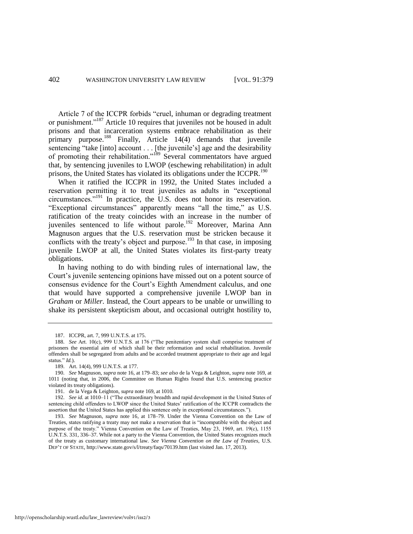Article 7 of the ICCPR forbids "cruel, inhuman or degrading treatment or punishment."<sup>187</sup> Article 10 requires that juveniles not be housed in adult prisons and that incarceration systems embrace rehabilitation as their primary purpose.<sup>188</sup> Finally, Article 14(4) demands that juvenile sentencing "take [into] account . . . [the juvenile's] age and the desirability of promoting their rehabilitation."<sup>189</sup> Several commentators have argued that, by sentencing juveniles to LWOP (eschewing rehabilitation) in adult prisons, the United States has violated its obligations under the ICCPR.<sup>190</sup>

When it ratified the ICCPR in 1992, the United States included a reservation permitting it to treat juveniles as adults in "exceptional circumstances."<sup>191</sup> In practice, the U.S. does not honor its reservation. "Exceptional circumstances" apparently means "all the time," as U.S. ratification of the treaty coincides with an increase in the number of juveniles sentenced to life without parole.<sup>192</sup> Moreover, Marina Ann Magnuson argues that the U.S. reservation must be stricken because it conflicts with the treaty's object and purpose.<sup>193</sup> In that case, in imposing juvenile LWOP at all, the United States violates its first-party treaty obligations.

In having nothing to do with binding rules of international law, the Court's juvenile sentencing opinions have missed out on a potent source of consensus evidence for the Court's Eighth Amendment calculus, and one that would have supported a comprehensive juvenile LWOP ban in *Graham* or *Miller*. Instead, the Court appears to be unable or unwilling to shake its persistent skepticism about, and occasional outright hostility to,

<sup>187.</sup> ICCPR, art. 7, 999 U.N.T.S. at 175.

<sup>188.</sup> *See* Art. 10(c), 999 U.N.T.S. at 176 ("The penitentiary system shall comprise treatment of prisoners the essential aim of which shall be their reformation and social rehabilitation. Juvenile offenders shall be segregated from adults and be accorded treatment appropriate to their age and legal status." *Id.*).

<sup>189.</sup> Art. 14(4), 999 U.N.T.S. at 177.

<sup>190.</sup> *See* Magnuson, *supra* note [16,](#page-3-0) at 179–83; *see also* de la Vega & Leighton, *supra* not[e 169,](#page-22-0) at 1011 (noting that, in 2006, the Committee on Human Rights found that U.S. sentencing practice violated its treaty obligations).

<sup>191.</sup> de la Vega & Leighton, *supra* not[e 169,](#page-22-0) at 1010.

<sup>192.</sup> *See id.* at 1010–11 ("The extraordinary breadth and rapid development in the United States of sentencing child offenders to LWOP since the United States' ratification of the ICCPR contradicts the assertion that the United States has applied this sentence only in exceptional circumstances.").

<sup>193.</sup> *See* Magnuson, *supra* note [16,](#page-3-0) at 178–79. Under the Vienna Convention on the Law of Treaties, states ratifying a treaty may not make a reservation that is "incompatible with the object and purpose of the treaty." Vienna Convention on the Law of Treaties, May 23, 1969, art. 19(c), 1155 U.N.T.S. 331, 336–37. While not a party to the Vienna Convention, the United States recognizes much of the treaty as customary international law. *See Vienna Convention on the Law of Treaties*, U.S. DEP'T OF STATE, http://www.state.gov/s/l/treaty/faqs/70139.htm (last visited Jan. 17, 2013).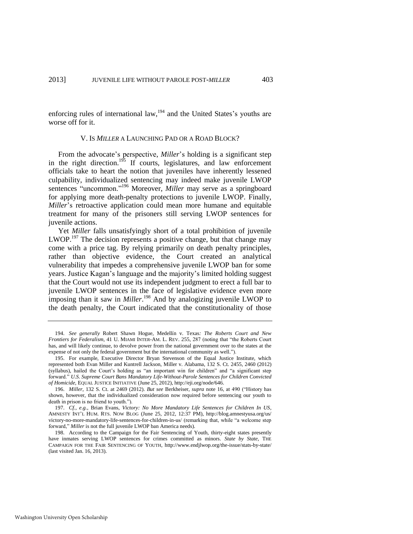enforcing rules of international law,<sup>194</sup> and the United States's youths are worse off for it.

#### V. IS *MILLER* A LAUNCHING PAD OR A ROAD BLOCK?

From the advocate's perspective, *Miller*'s holding is a significant step in the right direction.<sup>195</sup> If courts, legislatures, and law enforcement officials take to heart the notion that juveniles have inherently lessened culpability, individualized sentencing may indeed make juvenile LWOP sentences "uncommon."<sup>196</sup> Moreover, *Miller* may serve as a springboard for applying more death-penalty protections to juvenile LWOP. Finally, *Miller*'s retroactive application could mean more humane and equitable treatment for many of the prisoners still serving LWOP sentences for juvenile actions.

Yet *Miller* falls unsatisfyingly short of a total prohibition of juvenile  $LWOP$ <sup>197</sup>. The decision represents a positive change, but that change may come with a price tag. By relying primarily on death penalty principles, rather than objective evidence, the Court created an analytical vulnerability that impedes a comprehensive juvenile LWOP ban for some years. Justice Kagan's language and the majority's limited holding suggest that the Court would not use its independent judgment to erect a full bar to juvenile LWOP sentences in the face of legislative evidence even more imposing than it saw in *Miller*. <sup>198</sup> And by analogizing juvenile LWOP to the death penalty, the Court indicated that the constitutionality of those

<sup>194.</sup> *See generally* Robert Shawn Hogue, Medellín v. Texas*: The Roberts Court and New Frontiers for Federalism*, 41 U. MIAMI INTER-AM. L. REV. 255, 287 (noting that "the Roberts Court has, and will likely continue, to devolve power from the national government over to the states at the expense of not only the federal government but the international community as well.").

<sup>195.</sup> For example, Executive Director Bryan Stevenson of the Equal Justice Institute, which represented both Evan Miller and Kuntrell Jackson, Miller v. Alabama, 132 S. Ct. 2455, 2460 (2012) (syllabus), hailed the Court's holding as "an important win for children" and "a significant step forward." *U.S. Supreme Court Bans Mandatory Life-Without-Parole Sentences for Children Convicted of Homicide*, EQUAL JUSTICE INITIATIVE (June 25, 2012), http://eji.org/node/646.

<sup>196.</sup> *Miller*, 132 S. Ct. at 2469 (2012). *But see* Berkheiser, *supra* note [16,](#page-3-0) at 490 ("History has shown, however, that the individualized consideration now required before sentencing our youth to death in prison is no friend to youth.").

<sup>197.</sup> *Cf., e.g.*, Brian Evans, *Victory: No More Mandatory Life Sentences for Children In US*, AMNESTY INT'L HUM. RTS. NOW BLOG (June 25, 2012, 12:37 PM), http://blog.amnestyusa.org/us/ victory-no-more-mandatory-life-sentences-for-children-in-us/ (remarking that, while "a welcome step forward," *Miller* is not the full juvenile LWOP ban America needs).

<sup>198.</sup> According to the Campaign for the Fair Sentencing of Youth, thirty-eight states presently have inmates serving LWOP sentences for crimes committed as minors. *State by State*, THE CAMPAIGN FOR THE FAIR SENTENCING OF YOUTH, http://www.endjlwop.org/the-issue/stats-by-state/ (last visited Jan. 16, 2013).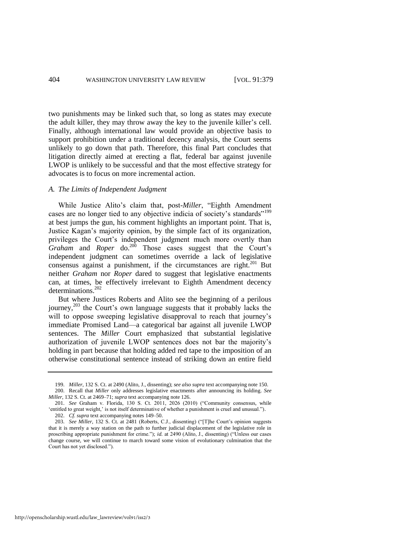two punishments may be linked such that, so long as states may execute the adult killer, they may throw away the key to the juvenile killer's cell. Finally, although international law would provide an objective basis to support prohibition under a traditional decency analysis, the Court seems unlikely to go down that path. Therefore, this final Part concludes that litigation directly aimed at erecting a flat, federal bar against juvenile LWOP is unlikely to be successful and that the most effective strategy for advocates is to focus on more incremental action.

#### *A. The Limits of Independent Judgment*

While Justice Alito's claim that, post-*Miller*, "Eighth Amendment cases are no longer tied to any objective indicia of society's standards"<sup>199</sup> at best jumps the gun, his comment highlights an important point. That is, Justice Kagan's majority opinion, by the simple fact of its organization, privileges the Court's independent judgment much more overtly than *Graham* and *Roper* do.<sup>200</sup> Those cases suggest that the Court's independent judgment can sometimes override a lack of legislative consensus against a punishment, if the circumstances are right. $^{201}$  But neither *Graham* nor *Roper* dared to suggest that legislative enactments can, at times, be effectively irrelevant to Eighth Amendment decency determinations.<sup>202</sup>

But where Justices Roberts and Alito see the beginning of a perilous journey,<sup>203</sup> the Court's own language suggests that it probably lacks the will to oppose sweeping legislative disapproval to reach that journey's immediate Promised Land—a categorical bar against all juvenile LWOP sentences. The *Miller* Court emphasized that substantial legislative authorization of juvenile LWOP sentences does not bar the majority's holding in part because that holding added red tape to the imposition of an otherwise constitutional sentence instead of striking down an entire field

<sup>199.</sup> *Miller*, 132 S. Ct. at 2490 (Alito, J., dissenting); *see also supra* text accompanying note [150.](#page-19-2) 

<sup>200.</sup> Recall that *Miller* only addresses legislative enactments after announcing its holding. *See Miller*, 132 S. Ct. at 2469–71; *supra* text accompanying not[e 126.](#page-16-0) 

<sup>201.</sup> *See* Graham v. Florida, 130 S. Ct. 2011, 2026 (2010) ("Community consensus, while 'entitled to great weight,' is not itself determinative of whether a punishment is cruel and unusual."). 202. *Cf. supra* text accompanying note[s 149–](#page-18-0)50.

<sup>203.</sup> *See Miller*, 132 S. Ct. at 2481 (Roberts, C.J., dissenting) ("[T]he Court's opinion suggests that it is merely a way station on the path to further judicial displacement of the legislative role in proscribing appropriate punishment for crime."); *id.* at 2490 (Alito, J., dissenting) ("Unless our cases change course, we will continue to march toward some vision of evolutionary culmination that the Court has not yet disclosed.").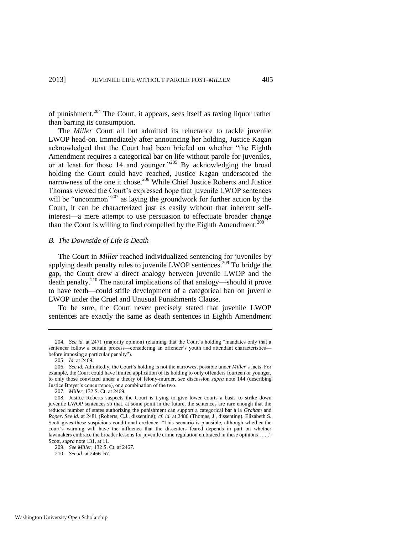of punishment.<sup>204</sup> The Court, it appears, sees itself as taxing liquor rather than barring its consumption.

The *Miller* Court all but admitted its reluctance to tackle juvenile LWOP head-on. Immediately after announcing her holding, Justice Kagan acknowledged that the Court had been briefed on whether "the Eighth Amendment requires a categorical bar on life without parole for juveniles, or at least for those 14 and younger."<sup>205</sup> By acknowledging the broad holding the Court could have reached, Justice Kagan underscored the narrowness of the one it chose.<sup>206</sup> While Chief Justice Roberts and Justice Thomas viewed the Court's expressed hope that juvenile LWOP sentences will be "uncommon"<sup>207</sup> as laying the groundwork for further action by the Court, it can be characterized just as easily without that inherent selfinterest—a mere attempt to use persuasion to effectuate broader change than the Court is willing to find compelled by the Eighth Amendment.<sup>208</sup>

#### *B. The Downside of Life is Death*

The Court in *Miller* reached individualized sentencing for juveniles by applying death penalty rules to juvenile LWOP sentences.<sup>209</sup> To bridge the gap, the Court drew a direct analogy between juvenile LWOP and the death penalty.<sup>210</sup> The natural implications of that analogy—should it prove to have teeth—could stifle development of a categorical ban on juvenile LWOP under the Cruel and Unusual Punishments Clause.

To be sure, the Court never precisely stated that juvenile LWOP sentences are exactly the same as death sentences in Eighth Amendment

<sup>204.</sup> *See id.* at 2471 (majority opinion) (claiming that the Court's holding "mandates only that a sentencer follow a certain process—considering an offender's youth and attendant characteristicsbefore imposing a particular penalty").

<sup>205.</sup> *Id.* at 2469.

<sup>206.</sup> *See id.* Admittedly, the Court's holding is not the narrowest possible under *Miller*'s facts. For example, the Court could have limited application of its holding to only offenders fourteen or younger, to only those convicted under a theory of felony-murder, *see* discussion *supra* note [144](#page-18-1) (describing Justice Breyer's concurrence), or a combination of the two.

<sup>207.</sup> *Miller,* 132 S. Ct. at 2469.

<sup>208.</sup> Justice Roberts suspects the Court is trying to give lower courts a basis to strike down juvenile LWOP sentences so that, at some point in the future, the sentences are rare enough that the reduced number of states authorizing the punishment can support a categorical bar à la *Graham* and *Roper*. *See id.* at 2481 (Roberts, C.J., dissenting); *cf. id.* at 2486 (Thomas, J., dissenting). Elizabeth S. Scott gives these suspicions conditional credence: "This scenario is plausible, although whether the court's warning will have the influence that the dissenters feared depends in part on whether lawmakers embrace the broader lessons for juvenile crime regulation embraced in these opinions . . . ." Scott, *supra* not[e 131,](#page-16-1) at 11.

<sup>209.</sup> *See Miller*, 132 S. Ct. at 2467.

<sup>210.</sup> *See id.* at 2466–67.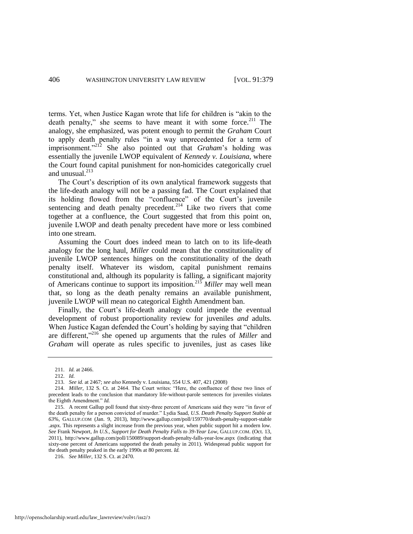terms. Yet, when Justice Kagan wrote that life for children is "akin to the death penalty," she seems to have meant it with some force. $211$  The analogy, she emphasized, was potent enough to permit the *Graham* Court to apply death penalty rules "in a way unprecedented for a term of imprisonment."<sup>212</sup> She also pointed out that *Graham's* holding was essentially the juvenile LWOP equivalent of *Kennedy v. Louisiana*, where the Court found capital punishment for non-homicides categorically cruel and unusual.<sup>213</sup>

The Court's description of its own analytical framework suggests that the life-death analogy will not be a passing fad. The Court explained that its holding flowed from the "confluence" of the Court's juvenile sentencing and death penalty precedent.<sup>214</sup> Like two rivers that come together at a confluence, the Court suggested that from this point on, juvenile LWOP and death penalty precedent have more or less combined into one stream.

Assuming the Court does indeed mean to latch on to its life-death analogy for the long haul, *Miller* could mean that the constitutionality of juvenile LWOP sentences hinges on the constitutionality of the death penalty itself. Whatever its wisdom, capital punishment remains constitutional and, although its popularity is falling, a significant majority of Americans continue to support its imposition.<sup>215</sup> *Miller* may well mean that, so long as the death penalty remains an available punishment, juvenile LWOP will mean no categorical Eighth Amendment ban.

Finally, the Court's life-death analogy could impede the eventual development of robust proportionality review for juveniles *and* adults. When Justice Kagan defended the Court's holding by saying that "children are different,"<sup>216</sup> she opened up arguments that the rules of *Miller* and *Graham* will operate as rules specific to juveniles, just as cases like

<sup>211.</sup> *Id.* at 2466.

<sup>212.</sup> *Id.*

<sup>213.</sup> *See id.* at 2467; *see also* Kennedy v. Louisiana, 554 U.S. 407, 421 (2008)

<sup>214.</sup> *Miller*, 132 S. Ct. at 2464. The Court writes: "Here, the confluence of these two lines of precedent leads to the conclusion that mandatory life-without-parole sentences for juveniles violates the Eighth Amendment." *Id.*

<sup>215.</sup> A recent Gallup poll found that sixty-three percent of Americans said they were "in favor of the death penalty for a person convicted of murder." Lydia Saad, *U.S. Death Penalty Support Stable at 63%*, GALLUP.COM (Jan. 9, 2013), http://www.gallup.com/poll/159770/death-penalty-support-stable .aspx. This represents a slight increase from the previous year, when public support hit a modern low. *See* Frank Newport, *In U.S., Support for Death Penalty Falls to 39-Year Low*, GALLUP.COM. (Oct. 13, 2011), http://www.gallup.com/poll/150089/support-death-penalty-falls-year-low.aspx (indicating that sixty-one percent of Americans supported the death penalty in 2011). Widespread public support for the death penalty peaked in the early 1990s at 80 percent. *Id.*

<sup>216.</sup> *See Miller*, 132 S. Ct. at 2470.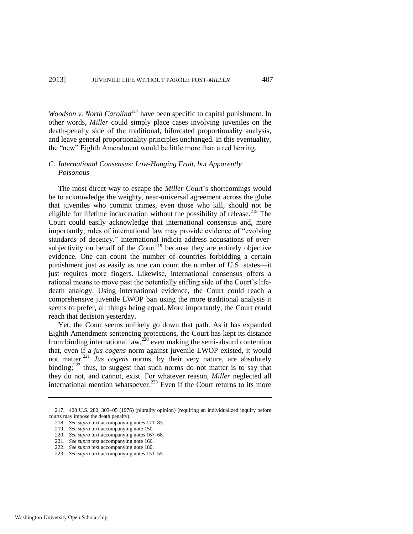*Woodson v. North Carolina*<sup>217</sup> have been specific to capital punishment. In other words, *Miller* could simply place cases involving juveniles on the death-penalty side of the traditional, bifurcated proportionality analysis, and leave general proportionality principles unchanged. In this eventuality, the "new" Eighth Amendment would be little more than a red herring.

#### *C. International Consensus: Low-Hanging Fruit, but Apparently Poisonous*

The most direct way to escape the *Miller* Court's shortcomings would be to acknowledge the weighty, near-universal agreement across the globe that juveniles who commit crimes, even those who kill, should not be eligible for lifetime incarceration without the possibility of release.<sup>218</sup> The Court could easily acknowledge that international consensus and, more importantly, rules of international law may provide evidence of "evolving standards of decency." International indicia address accusations of oversubjectivity on behalf of the Court<sup>219</sup> because they are entirely objective evidence. One can count the number of countries forbidding a certain punishment just as easily as one can count the number of U.S. states—it just requires more fingers. Likewise, international consensus offers a rational means to move past the potentially stifling side of the Court's lifedeath analogy. Using international evidence, the Court could reach a comprehensive juvenile LWOP ban using the more traditional analysis it seems to prefer, all things being equal. More importantly, the Court could reach that decision yesterday.

Yet, the Court seems unlikely go down that path. As it has expanded Eighth Amendment sentencing protections, the Court has kept its distance from binding international law,<sup>220</sup> even making the semi-absurd contention that, even if a *jus cogens* norm against juvenile LWOP existed, it would not matter.<sup>221</sup> *Jus cogens* norms, by their very nature, are absolutely binding; $222$  thus, to suggest that such norms do not matter is to say that they do not, and cannot, exist. For whatever reason, *Miller* neglected all international mention whatsoever.<sup>223</sup> Even if the Court returns to its more

<sup>217. 428</sup> U.S. 280, 303–05 (1976) (plurality opinion) (requiring an individualized inquiry before courts may impose the death penalty).

<sup>218.</sup> *See supra* text accompanying note[s 171–](#page-22-1)83.

<sup>219.</sup> *See supra* text accompanying not[e 150.](#page-19-2)

<sup>220.</sup> *See supra* text accompanying note[s 167–](#page-22-2)68.

<sup>221.</sup> *See supra* text accompanying not[e 166.](#page-21-1)

<sup>222.</sup> *See supra* text accompanying not[e 180.](#page-23-0)

<sup>223.</sup> *See supra* text accompanying note[s 151–](#page-19-1)55.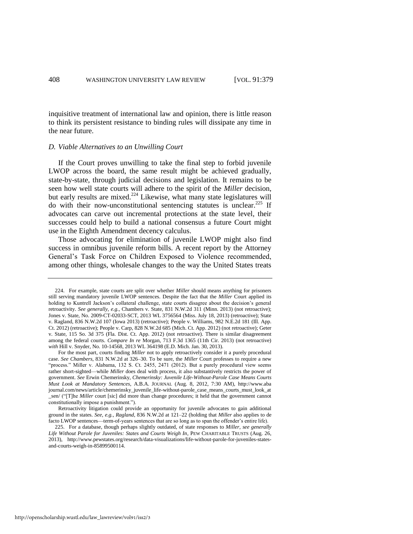inquisitive treatment of international law and opinion, there is little reason to think its persistent resistance to binding rules will dissipate any time in the near future.

#### *D. Viable Alternatives to an Unwilling Court*

<span id="page-30-0"></span>If the Court proves unwilling to take the final step to forbid juvenile LWOP across the board, the same result might be achieved gradually, state-by-state, through judicial decisions and legislation. It remains to be seen how well state courts will adhere to the spirit of the *Miller* decision, but early results are mixed.<sup>224</sup> Likewise, what many state legislatures will do with their now-unconstitutional sentencing statutes is unclear.<sup>225</sup> If advocates can carve out incremental protections at the state level, their successes could help to build a national consensus a future Court might use in the Eighth Amendment decency calculus.

Those advocating for elimination of juvenile LWOP might also find success in omnibus juvenile reform bills. A recent report by the Attorney General's Task Force on Children Exposed to Violence recommended, among other things, wholesale changes to the way the United States treats

http://openscholarship.wustl.edu/law\_lawreview/vol91/iss2/3

<sup>224.</sup> For example, state courts are split over whether *Miller* should means anything for prisoners still serving mandatory juvenile LWOP sentences. Despite the fact that the *Miller* Court applied its holding to Kuntrell Jackson's collateral challenge, state courts disagree about the decision's general retroactivity. *See generally, e.g.*, Chambers v. State, 831 N.W.2d 311 (Minn. 2013) (not retroactive); Jones v. State, No. 2009-CT-02033-SCT, 2013 WL 3756564 (Miss. July 18, 2013) (retroactive); State v. Ragland, 836 N.W.2d 107 (Iowa 2013) (retroactive); People v. Williams, 982 N.E.2d 181 (Ill. App. Ct. 2012) (retroactive); People v. Carp, 828 N.W.2d 685 (Mich. Ct. App. 2012) (not retroactive); Geter v. State, 115 So. 3d 375 (Fla. Dist. Ct. App. 2012) (not retroactive). There is similar disagreement among the federal courts. *Compare In re* Morgan, 713 F.3d 1365 (11th Cir. 2013) (not retroactive) *with* Hill v. Snyder, No. 10-14568, 2013 WL 364198 (E.D. Mich. Jan. 30, 2013).

For the most part, courts finding *Miller* not to apply retroactively consider it a purely procedural case. *See Chambers*, 831 N.W.2d at 326–30. To be sure, the *Miller* Court professes to require a new "process." Miller v. Alabama, 132 S. Ct. 2455, 2471 (2012). But a purely procedural view seems rather short-sighted—while *Miller* does deal with process, it also substantively restricts the power of government. *See* Erwin Chemerinsky, *Chemerinsky: Juvenile Life-Without-Parole Case Means Courts Must Look at Mandatory Sentences*, A.B.A. JOURNAL (Aug. 8, 2012, 7:30 AM), http://www.aba journal.com/news/article/chemerinsky\_juvenile\_life-without-parole\_case\_means\_courts\_must\_look\_at \_sen/ ("[T]he *Miller* court [sic] did more than change procedures; it held that the government cannot constitutionally impose a punishment.").

Retroactivity litigation could provide an opportunity for juvenile advocates to gain additional ground in the states. *See, e.g.*, *Ragland*, 836 N.W.2d at 121–22 (holding that *Miller* also applies to de facto LWOP sentences—term-of-years sentences that are so long as to span the offender's entire life).

<sup>225.</sup> For a database, though perhaps slightly outdated, of state responses to *Miller*, *see generally Life Without Parole for Juveniles: States and Courts Weigh In*, PEW CHARITABLE TRUSTS (Aug. 26, 2013), http://www.pewstates.org/research/data-visualizations/life-without-parole-for-juveniles-statesand-courts-weigh-in-85899500114.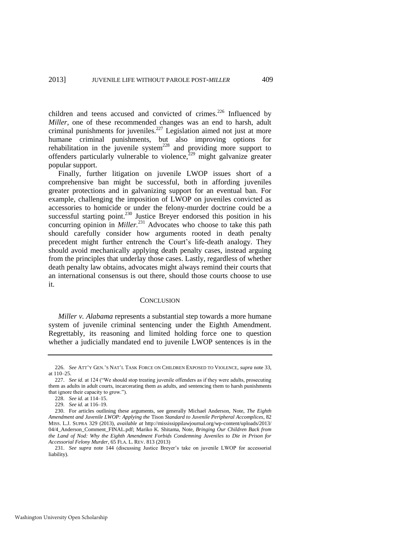children and teens accused and convicted of crimes.<sup>226</sup> Influenced by *Miller*, one of these recommended changes was an end to harsh, adult criminal punishments for juveniles.<sup>227</sup> Legislation aimed not just at more humane criminal punishments, but also improving options for rehabilitation in the juvenile system<sup>228</sup> and providing more support to offenders particularly vulnerable to violence, $^{229}$  might galvanize greater popular support.

Finally, further litigation on juvenile LWOP issues short of a comprehensive ban might be successful, both in affording juveniles greater protections and in galvanizing support for an eventual ban. For example, challenging the imposition of LWOP on juveniles convicted as accessories to homicide or under the felony-murder doctrine could be a successful starting point.<sup>230</sup> Justice Breyer endorsed this position in his concurring opinion in *Miller*.<sup>231</sup> Advocates who choose to take this path should carefully consider how arguments rooted in death penalty precedent might further entrench the Court's life-death analogy. They should avoid mechanically applying death penalty cases, instead arguing from the principles that underlay those cases. Lastly, regardless of whether death penalty law obtains, advocates might always remind their courts that an international consensus is out there, should those courts choose to use it.

#### **CONCLUSION**

*Miller v. Alabama* represents a substantial step towards a more humane system of juvenile criminal sentencing under the Eighth Amendment. Regrettably, its reasoning and limited holding force one to question whether a judicially mandated end to juvenile LWOP sentences is in the

<sup>226.</sup> *See* ATT'Y GEN.'S NAT'L TASK FORCE ON CHILDREN EXPOSED TO VIOLENCE, *supra* not[e 33,](#page-5-2)  at 110–25.

<sup>227.</sup> *See id.* at 124 ("We should stop treating juvenile offenders as if they were adults, prosecuting them as adults in adult courts, incarcerating them as adults, and sentencing them to harsh punishments that ignore their capacity to grow.").

<sup>228.</sup> *See id.* at 114–15.

<sup>229.</sup> *See id.* at 116–19.

<sup>230.</sup> For articles outlining these arguments, see generally Michael Anderson, Note, *The Eighth Amendment and Juvenile LWOP: Applying the* Tison *Standard to Juvenile Peripheral Accomplices*, 82 MISS. L.J. SUPRA 329 (2013), *available at* http://mississippilawjournal.org/wp-content/uploads/2013/ 04/4\_Anderson\_Comment\_FINAL.pdf; Mariko K. Shitama, Note, *Bringing Our Children Back from the Land of Nod: Why the Eighth Amendment Forbids Condemning Juveniles to Die in Prison for Accessorial Felony Murder*, 65 FLA. L. REV. 813 (2013)

<sup>231.</sup> *See supra* note [144](#page-18-1) (discussing Justice Breyer's take on juvenile LWOP for accessorial liability).